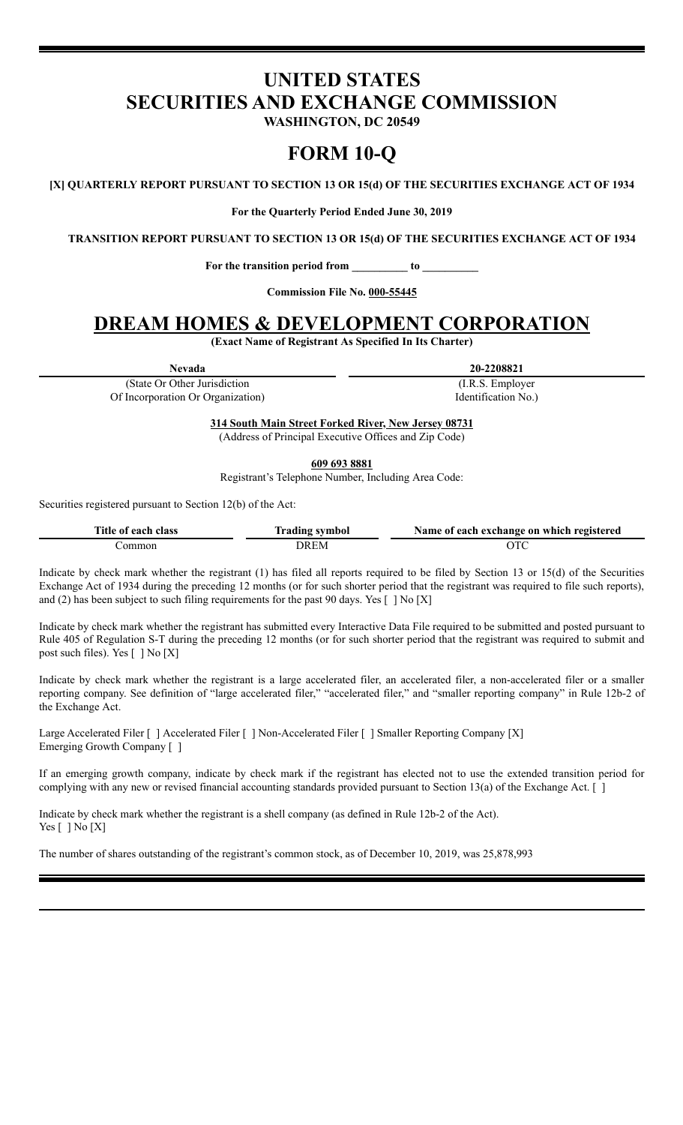# **UNITED STATES SECURITIES AND EXCHANGE COMMISSION**

**WASHINGTON, DC 20549**

# **FORM 10-Q**

**[X] QUARTERLY REPORT PURSUANT TO SECTION 13 OR 15(d) OF THE SECURITIES EXCHANGE ACT OF 1934**

**For the Quarterly Period Ended June 30, 2019**

**TRANSITION REPORT PURSUANT TO SECTION 13 OR 15(d) OF THE SECURITIES EXCHANGE ACT OF 1934**

**For the transition period from \_\_\_\_\_\_\_\_\_\_ to \_\_\_\_\_\_\_\_\_\_**

**Commission File No. 000-55445**

# **DREAM HOMES & DEVELOPMENT CORPORATION**

**(Exact Name of Registrant As Specified In Its Charter)**

**Nevada 20-2208821**

(State Or Other Jurisdiction Of Incorporation Or Organization)

(I.R.S. Employer Identification No.)

**314 South Main Street Forked River, New Jersey 08731** (Address of Principal Executive Offices and Zip Code)

**609 693 8881** Registrant's Telephone Number, Including Area Code:

Securities registered pursuant to Section 12(b) of the Act:

| Title of each<br>class | -symbol | Name of each exchange on which registered |
|------------------------|---------|-------------------------------------------|
| ommon                  | )R E.M  |                                           |

Indicate by check mark whether the registrant (1) has filed all reports required to be filed by Section 13 or 15(d) of the Securities Exchange Act of 1934 during the preceding 12 months (or for such shorter period that the registrant was required to file such reports), and (2) has been subject to such filing requirements for the past 90 days. Yes  $[ ]$  No  $[X]$ 

Indicate by check mark whether the registrant has submitted every Interactive Data File required to be submitted and posted pursuant to Rule 405 of Regulation S-T during the preceding 12 months (or for such shorter period that the registrant was required to submit and post such files). Yes [ ] No [X]

Indicate by check mark whether the registrant is a large accelerated filer, an accelerated filer, a non-accelerated filer or a smaller reporting company. See definition of "large accelerated filer," "accelerated filer," and "smaller reporting company" in Rule 12b-2 of the Exchange Act.

Large Accelerated Filer [ ] Accelerated Filer [ ] Non-Accelerated Filer [ ] Smaller Reporting Company [X] Emerging Growth Company [ ]

If an emerging growth company, indicate by check mark if the registrant has elected not to use the extended transition period for complying with any new or revised financial accounting standards provided pursuant to Section 13(a) of the Exchange Act. [ ]

Indicate by check mark whether the registrant is a shell company (as defined in Rule 12b-2 of the Act). Yes [ ] No [X]

The number of shares outstanding of the registrant's common stock, as of December 10, 2019, was 25,878,993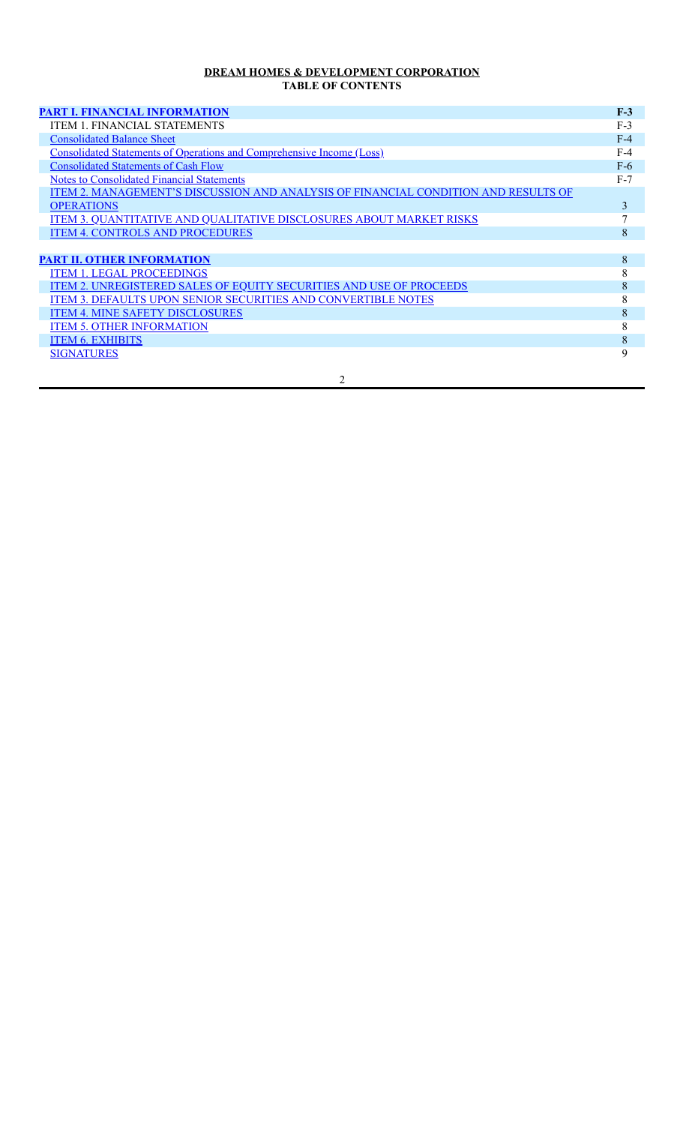#### **DREAM HOMES & DEVELOPMENT CORPORATION TABLE OF CONTENTS**

| <b>PART I. FINANCIAL INFORMATION</b>                                                      | $F-3$ |
|-------------------------------------------------------------------------------------------|-------|
| <b>ITEM 1. FINANCIAL STATEMENTS</b>                                                       | $F-3$ |
| <b>Consolidated Balance Sheet</b>                                                         | $F-4$ |
| <b>Consolidated Statements of Operations and Comprehensive Income (Loss)</b>              | $F-4$ |
| <b>Consolidated Statements of Cash Flow</b>                                               | $F-6$ |
| Notes to Consolidated Financial Statements                                                | $F-7$ |
| <u>ITEM 2. MANAGEMENT'S DISCUSSION AND ANALYSIS OF FINANCIAL CONDITION AND RESULTS OF</u> |       |
| <b>OPERATIONS</b>                                                                         | 3     |
| <b>ITEM 3. QUANTITATIVE AND QUALITATIVE DISCLOSURES ABOUT MARKET RISKS</b>                |       |
| <b>ITEM 4. CONTROLS AND PROCEDURES</b>                                                    | 8     |
|                                                                                           |       |
| <b>PART II. OTHER INFORMATION</b>                                                         | 8     |
| <b>ITEM 1. LEGAL PROCEEDINGS</b>                                                          | 8     |
| <b>ITEM 2. UNREGISTERED SALES OF EQUITY SECURITIES AND USE OF PROCEEDS</b>                | 8     |
| ITEM 3. DEFAULTS UPON SENIOR SECURITIES AND CONVERTIBLE NOTES                             | 8     |
| <b>ITEM 4. MINE SAFETY DISCLOSURES</b>                                                    | 8     |
| <b>ITEM 5. OTHER INFORMATION</b>                                                          | 8     |
| <b>ITEM 6. EXHIBITS</b>                                                                   | 8     |
| <b>SIGNATURES</b>                                                                         | 9     |
|                                                                                           |       |

2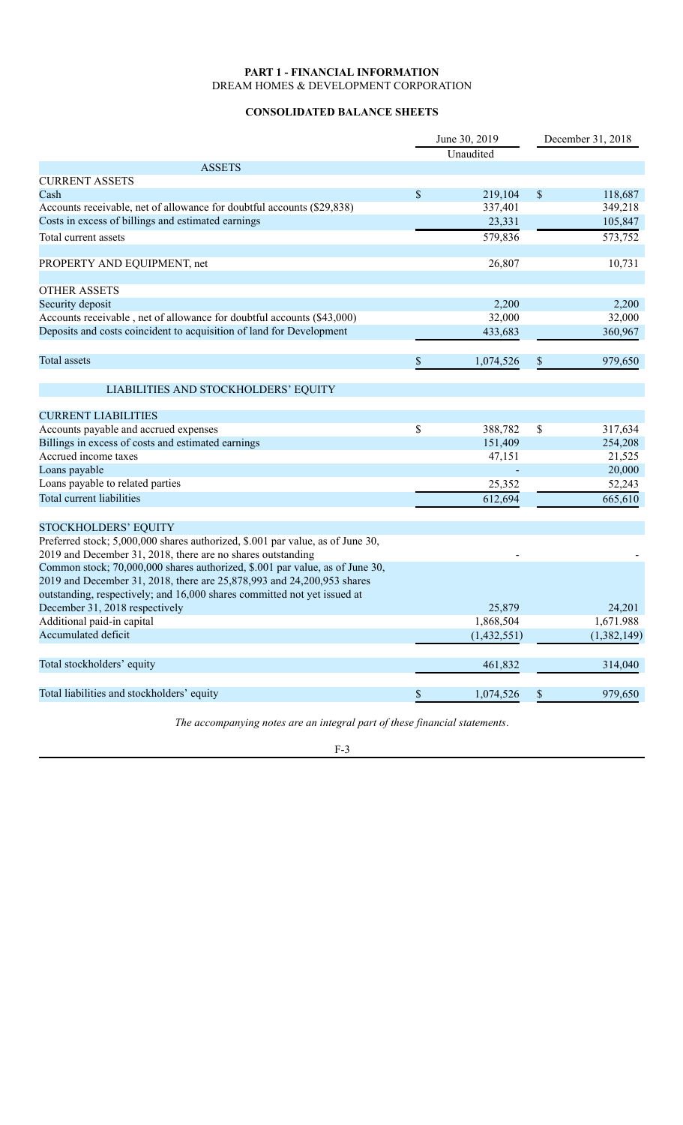# **PART 1 - FINANCIAL INFORMATION** DREAM HOMES & DEVELOPMENT CORPORATION

# **CONSOLIDATED BALANCE SHEETS**

<span id="page-2-1"></span><span id="page-2-0"></span>

|                                                                                                                                               |                           | June 30, 2019<br>Unaudited |    | December 31, 2018 |
|-----------------------------------------------------------------------------------------------------------------------------------------------|---------------------------|----------------------------|----|-------------------|
| <b>ASSETS</b>                                                                                                                                 |                           |                            |    |                   |
| <b>CURRENT ASSETS</b>                                                                                                                         |                           |                            |    |                   |
| Cash                                                                                                                                          | $\mathcal{S}$             | 219,104                    | \$ | 118,687           |
| Accounts receivable, net of allowance for doubtful accounts (\$29,838)                                                                        |                           | 337,401                    |    | 349,218           |
| Costs in excess of billings and estimated earnings                                                                                            |                           | 23,331                     |    | 105,847           |
| Total current assets                                                                                                                          |                           | 579,836                    |    | 573,752           |
| PROPERTY AND EQUIPMENT, net                                                                                                                   |                           | 26,807                     |    | 10,731            |
| <b>OTHER ASSETS</b>                                                                                                                           |                           |                            |    |                   |
| Security deposit                                                                                                                              |                           | 2,200                      |    | 2,200             |
| Accounts receivable, net of allowance for doubtful accounts (\$43,000)                                                                        |                           | 32,000                     |    | 32,000            |
| Deposits and costs coincident to acquisition of land for Development                                                                          |                           | 433,683                    |    | 360,967           |
| Total assets                                                                                                                                  | $\boldsymbol{\mathsf{S}}$ | 1,074,526                  | \$ | 979,650           |
| LIABILITIES AND STOCKHOLDERS' EQUITY                                                                                                          |                           |                            |    |                   |
| <b>CURRENT LIABILITIES</b>                                                                                                                    |                           |                            |    |                   |
| Accounts payable and accrued expenses                                                                                                         | \$                        | 388,782                    | \$ | 317,634           |
| Billings in excess of costs and estimated earnings                                                                                            |                           | 151,409                    |    | 254,208           |
| Accrued income taxes                                                                                                                          |                           | 47,151                     |    | 21,525            |
| Loans payable                                                                                                                                 |                           |                            |    | 20,000            |
| Loans payable to related parties                                                                                                              |                           | 25,352                     |    | 52,243            |
| Total current liabilities                                                                                                                     |                           | 612,694                    |    | 665,610           |
| STOCKHOLDERS' EQUITY                                                                                                                          |                           |                            |    |                   |
| Preferred stock; 5,000,000 shares authorized, \$.001 par value, as of June 30,<br>2019 and December 31, 2018, there are no shares outstanding |                           |                            |    |                   |
| Common stock; 70,000,000 shares authorized, \$.001 par value, as of June 30,                                                                  |                           |                            |    |                   |
| 2019 and December 31, 2018, there are 25,878,993 and 24,200,953 shares                                                                        |                           |                            |    |                   |
| outstanding, respectively; and 16,000 shares committed not yet issued at                                                                      |                           |                            |    |                   |
| December 31, 2018 respectively                                                                                                                |                           | 25,879                     |    | 24,201            |
| Additional paid-in capital                                                                                                                    |                           | 1,868,504                  |    | 1,671.988         |
| Accumulated deficit                                                                                                                           |                           | (1,432,551)                |    | (1,382,149)       |
| Total stockholders' equity                                                                                                                    |                           | 461,832                    |    | 314,040           |
|                                                                                                                                               |                           |                            |    |                   |
| Total liabilities and stockholders' equity                                                                                                    | $\boldsymbol{\mathsf{S}}$ | 1,074,526                  | \$ | 979,650           |

*The accompanying notes are an integral part of these financial statements*.

F-3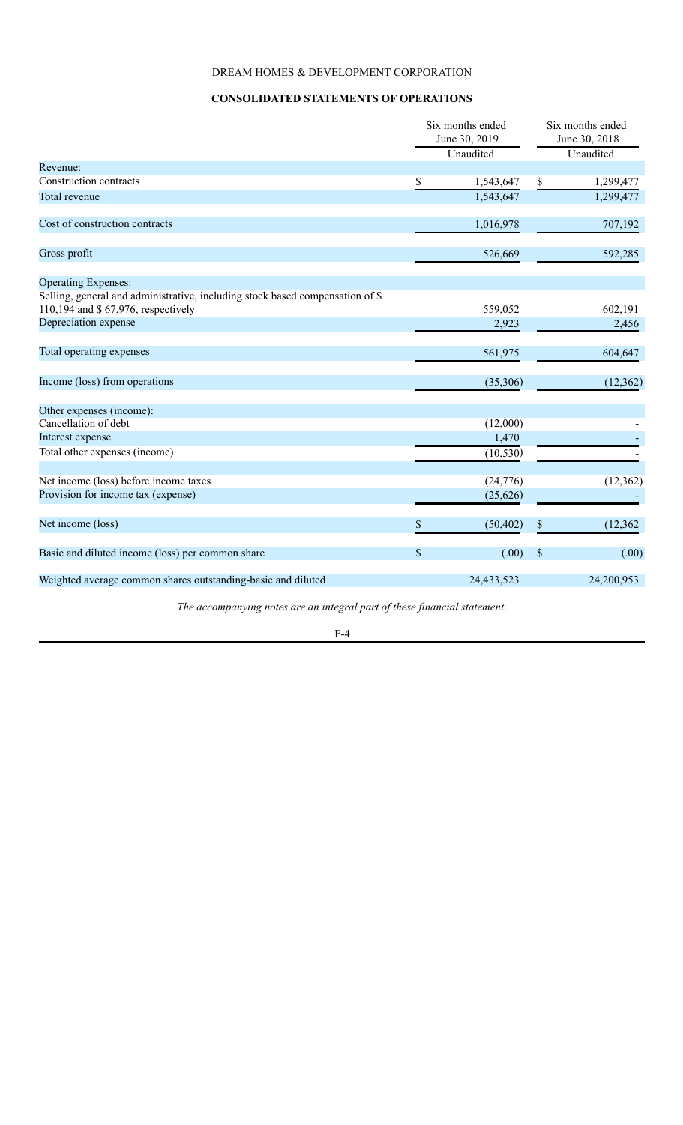# DREAM HOMES & DEVELOPMENT CORPORATION

# **CONSOLIDATED STATEMENTS OF OPERATIONS**

<span id="page-3-0"></span>

|                                                                                                                      | Six months ended<br>June 30, 2019 |            |           | Six months ended<br>June 30, 2018 |  |  |
|----------------------------------------------------------------------------------------------------------------------|-----------------------------------|------------|-----------|-----------------------------------|--|--|
|                                                                                                                      |                                   | Unaudited  | Unaudited |                                   |  |  |
| Revenue:                                                                                                             |                                   |            |           |                                   |  |  |
| Construction contracts                                                                                               | \$                                | 1,543,647  | \$        | 1,299,477                         |  |  |
| Total revenue                                                                                                        |                                   | 1,543,647  |           | 1,299,477                         |  |  |
| Cost of construction contracts                                                                                       |                                   | 1,016,978  |           | 707,192                           |  |  |
| Gross profit                                                                                                         |                                   | 526,669    |           | 592,285                           |  |  |
| <b>Operating Expenses:</b>                                                                                           |                                   |            |           |                                   |  |  |
| Selling, general and administrative, including stock based compensation of \$<br>110,194 and \$ 67,976, respectively |                                   | 559,052    |           | 602,191                           |  |  |
| Depreciation expense                                                                                                 |                                   | 2,923      |           | 2,456                             |  |  |
| Total operating expenses                                                                                             |                                   | 561,975    |           | 604,647                           |  |  |
| Income (loss) from operations                                                                                        |                                   | (35,306)   |           | (12, 362)                         |  |  |
| Other expenses (income):                                                                                             |                                   |            |           |                                   |  |  |
| Cancellation of debt                                                                                                 |                                   | (12,000)   |           |                                   |  |  |
| Interest expense                                                                                                     |                                   | 1,470      |           |                                   |  |  |
| Total other expenses (income)                                                                                        |                                   | (10, 530)  |           |                                   |  |  |
| Net income (loss) before income taxes                                                                                |                                   | (24, 776)  |           | (12, 362)                         |  |  |
| Provision for income tax (expense)                                                                                   |                                   | (25,626)   |           |                                   |  |  |
| Net income (loss)                                                                                                    | \$                                | (50, 402)  | \$        | (12, 362)                         |  |  |
| Basic and diluted income (loss) per common share                                                                     | \$                                | (0.00)     | \$        | (.00)                             |  |  |
| Weighted average common shares outstanding-basic and diluted                                                         |                                   | 24,433,523 |           | 24,200,953                        |  |  |

*The accompanying notes are an integral part of these financial statement*.

F-4

<u> 1989 - Johann Barn, mars eta bat e</u>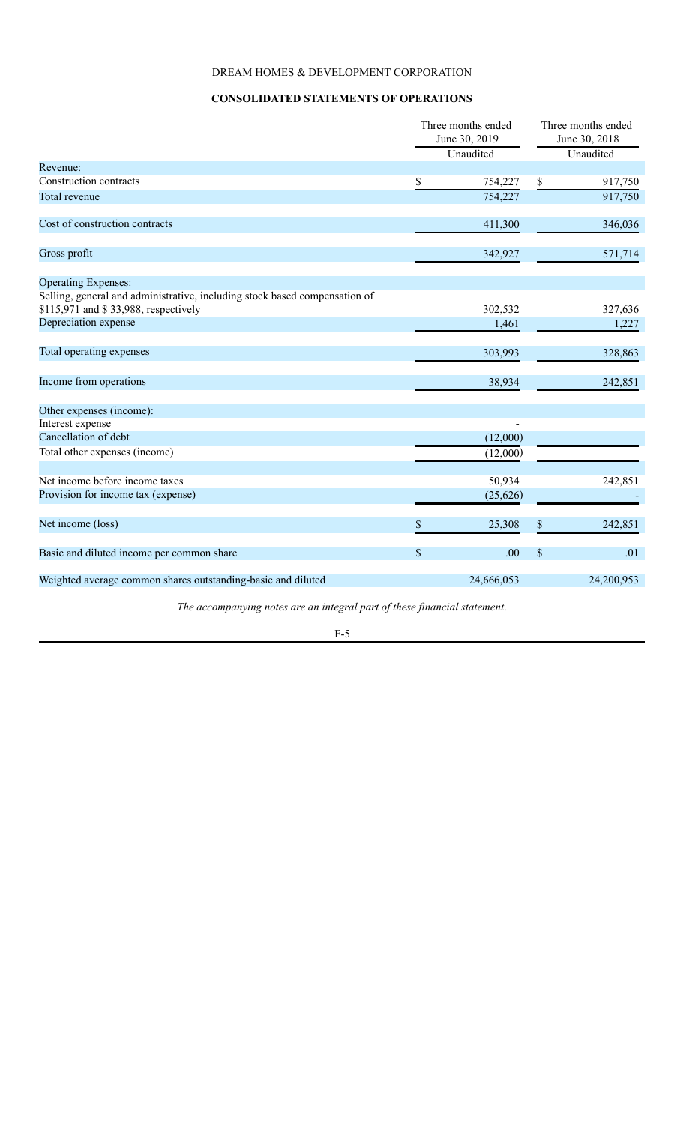# DREAM HOMES & DEVELOPMENT CORPORATION

# **CONSOLIDATED STATEMENTS OF OPERATIONS**

|                                                                                                                    |               | Three months ended<br>June 30, 2019 | Three months ended<br>June 30, 2018<br>Unaudited |            |  |
|--------------------------------------------------------------------------------------------------------------------|---------------|-------------------------------------|--------------------------------------------------|------------|--|
|                                                                                                                    |               | Unaudited                           |                                                  |            |  |
| Revenue:                                                                                                           |               |                                     |                                                  |            |  |
| Construction contracts                                                                                             | \$            | 754,227                             | \$                                               | 917,750    |  |
| Total revenue                                                                                                      |               | 754,227                             |                                                  | 917,750    |  |
| Cost of construction contracts                                                                                     |               | 411,300                             |                                                  | 346,036    |  |
| Gross profit                                                                                                       |               | 342,927                             |                                                  | 571,714    |  |
| <b>Operating Expenses:</b>                                                                                         |               |                                     |                                                  |            |  |
| Selling, general and administrative, including stock based compensation of<br>\$115,971 and \$33,988, respectively |               | 302,532                             |                                                  | 327,636    |  |
| Depreciation expense                                                                                               |               | 1,461                               |                                                  | 1,227      |  |
| Total operating expenses                                                                                           |               | 303,993                             |                                                  | 328,863    |  |
| Income from operations                                                                                             |               | 38,934                              |                                                  | 242,851    |  |
| Other expenses (income):                                                                                           |               |                                     |                                                  |            |  |
| Interest expense                                                                                                   |               |                                     |                                                  |            |  |
| Cancellation of debt                                                                                               |               | (12,000)                            |                                                  |            |  |
| Total other expenses (income)                                                                                      |               | (12,000)                            |                                                  |            |  |
| Net income before income taxes                                                                                     |               | 50,934                              |                                                  | 242,851    |  |
| Provision for income tax (expense)                                                                                 |               | (25,626)                            |                                                  |            |  |
| Net income (loss)                                                                                                  | \$            | 25,308                              | \$                                               | 242,851    |  |
| Basic and diluted income per common share                                                                          | $\mathsf{\$}$ | .00                                 | \$                                               | .01        |  |
| Weighted average common shares outstanding-basic and diluted                                                       |               | 24,666,053                          |                                                  | 24,200,953 |  |
|                                                                                                                    |               |                                     |                                                  |            |  |

*The accompanying notes are an integral part of these financial statement*.

F-5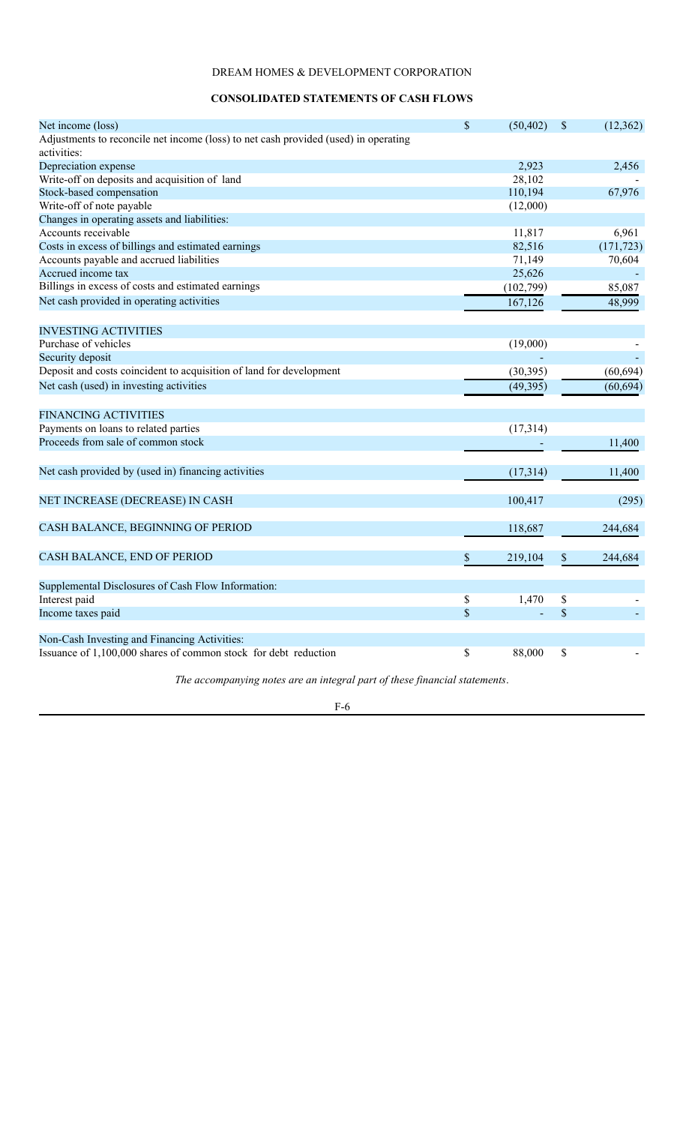# DREAM HOMES & DEVELOPMENT CORPORATION

# **CONSOLIDATED STATEMENTS OF CASH FLOWS**

<span id="page-5-0"></span>

| Net income (loss)                                                                   | \$            | (50, 402) | $\boldsymbol{\mathsf{S}}$ | (12, 362)  |
|-------------------------------------------------------------------------------------|---------------|-----------|---------------------------|------------|
| Adjustments to reconcile net income (loss) to net cash provided (used) in operating |               |           |                           |            |
| activities:                                                                         |               |           |                           |            |
| Depreciation expense                                                                |               | 2,923     |                           | 2,456      |
| Write-off on deposits and acquisition of land                                       |               | 28,102    |                           |            |
| Stock-based compensation                                                            |               | 110,194   |                           | 67,976     |
| Write-off of note payable                                                           |               | (12,000)  |                           |            |
| Changes in operating assets and liabilities:                                        |               |           |                           |            |
| Accounts receivable                                                                 |               | 11,817    |                           | 6,961      |
| Costs in excess of billings and estimated earnings                                  |               | 82,516    |                           | (171, 723) |
| Accounts payable and accrued liabilities                                            |               | 71,149    |                           | 70,604     |
| Accrued income tax                                                                  |               | 25,626    |                           |            |
| Billings in excess of costs and estimated earnings                                  |               | (102,799) |                           | 85,087     |
| Net cash provided in operating activities                                           |               | 167,126   |                           | 48,999     |
|                                                                                     |               |           |                           |            |
| <b>INVESTING ACTIVITIES</b>                                                         |               |           |                           |            |
| Purchase of vehicles                                                                |               | (19,000)  |                           |            |
| Security deposit                                                                    |               |           |                           |            |
| Deposit and costs coincident to acquisition of land for development                 |               | (30, 395) |                           | (60, 694)  |
| Net cash (used) in investing activities                                             |               | (49, 395) |                           | (60, 694)  |
|                                                                                     |               |           |                           |            |
| <b>FINANCING ACTIVITIES</b>                                                         |               |           |                           |            |
| Payments on loans to related parties                                                |               | (17, 314) |                           |            |
| Proceeds from sale of common stock                                                  |               |           |                           | 11,400     |
|                                                                                     |               |           |                           |            |
| Net cash provided by (used in) financing activities                                 |               | (17,314)  |                           | 11,400     |
|                                                                                     |               |           |                           |            |
| NET INCREASE (DECREASE) IN CASH                                                     |               | 100,417   |                           | (295)      |
|                                                                                     |               |           |                           |            |
| CASH BALANCE, BEGINNING OF PERIOD                                                   |               | 118,687   |                           | 244,684    |
|                                                                                     |               |           |                           |            |
| CASH BALANCE, END OF PERIOD                                                         |               |           |                           |            |
|                                                                                     | \$            | 219,104   | \$                        | 244,684    |
| Supplemental Disclosures of Cash Flow Information:                                  |               |           |                           |            |
| Interest paid                                                                       | \$            | 1,470     | \$                        |            |
| Income taxes paid                                                                   | $\mathsf{\$}$ |           | \$                        | ä,         |
|                                                                                     |               |           |                           |            |
| Non-Cash Investing and Financing Activities:                                        |               |           |                           |            |
| Issuance of 1,100,000 shares of common stock for debt reduction                     | \$            | 88,000    | \$                        |            |
|                                                                                     |               |           |                           |            |

*The accompanying notes are an integral part of these financial statements*.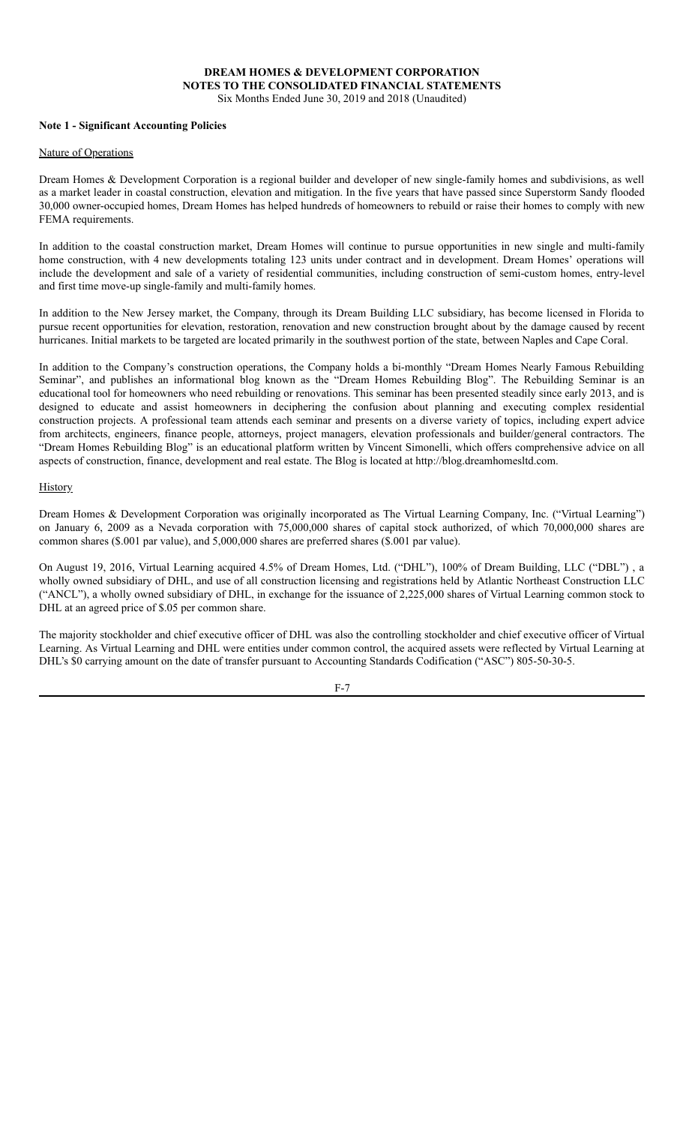#### **DREAM HOMES & DEVELOPMENT CORPORATION NOTES TO THE CONSOLIDATED FINANCIAL STATEMENTS** Six Months Ended June 30, 2019 and 2018 (Unaudited)

# <span id="page-6-0"></span>**Note 1 - Significant Accounting Policies**

#### Nature of Operations

Dream Homes & Development Corporation is a regional builder and developer of new single-family homes and subdivisions, as well as a market leader in coastal construction, elevation and mitigation. In the five years that have passed since Superstorm Sandy flooded 30,000 owner-occupied homes, Dream Homes has helped hundreds of homeowners to rebuild or raise their homes to comply with new FEMA requirements.

In addition to the coastal construction market, Dream Homes will continue to pursue opportunities in new single and multi-family home construction, with 4 new developments totaling 123 units under contract and in development. Dream Homes' operations will include the development and sale of a variety of residential communities, including construction of semi-custom homes, entry-level and first time move-up single-family and multi-family homes.

In addition to the New Jersey market, the Company, through its Dream Building LLC subsidiary, has become licensed in Florida to pursue recent opportunities for elevation, restoration, renovation and new construction brought about by the damage caused by recent hurricanes. Initial markets to be targeted are located primarily in the southwest portion of the state, between Naples and Cape Coral.

In addition to the Company's construction operations, the Company holds a bi-monthly "Dream Homes Nearly Famous Rebuilding Seminar", and publishes an informational blog known as the "Dream Homes Rebuilding Blog". The Rebuilding Seminar is an educational tool for homeowners who need rebuilding or renovations. This seminar has been presented steadily since early 2013, and is designed to educate and assist homeowners in deciphering the confusion about planning and executing complex residential construction projects. A professional team attends each seminar and presents on a diverse variety of topics, including expert advice from architects, engineers, finance people, attorneys, project managers, elevation professionals and builder/general contractors. The "Dream Homes Rebuilding Blog" is an educational platform written by Vincent Simonelli, which offers comprehensive advice on all aspects of construction, finance, development and real estate. The Blog is located at http://blog.dreamhomesltd.com.

## **History**

Dream Homes & Development Corporation was originally incorporated as The Virtual Learning Company, Inc. ("Virtual Learning") on January 6, 2009 as a Nevada corporation with 75,000,000 shares of capital stock authorized, of which 70,000,000 shares are common shares (\$.001 par value), and 5,000,000 shares are preferred shares (\$.001 par value).

On August 19, 2016, Virtual Learning acquired 4.5% of Dream Homes, Ltd. ("DHL"), 100% of Dream Building, LLC ("DBL") , a wholly owned subsidiary of DHL, and use of all construction licensing and registrations held by Atlantic Northeast Construction LLC ("ANCL"), a wholly owned subsidiary of DHL, in exchange for the issuance of 2,225,000 shares of Virtual Learning common stock to DHL at an agreed price of \$.05 per common share.

The majority stockholder and chief executive officer of DHL was also the controlling stockholder and chief executive officer of Virtual Learning. As Virtual Learning and DHL were entities under common control, the acquired assets were reflected by Virtual Learning at DHL's \$0 carrying amount on the date of transfer pursuant to Accounting Standards Codification ("ASC") 805-50-30-5.

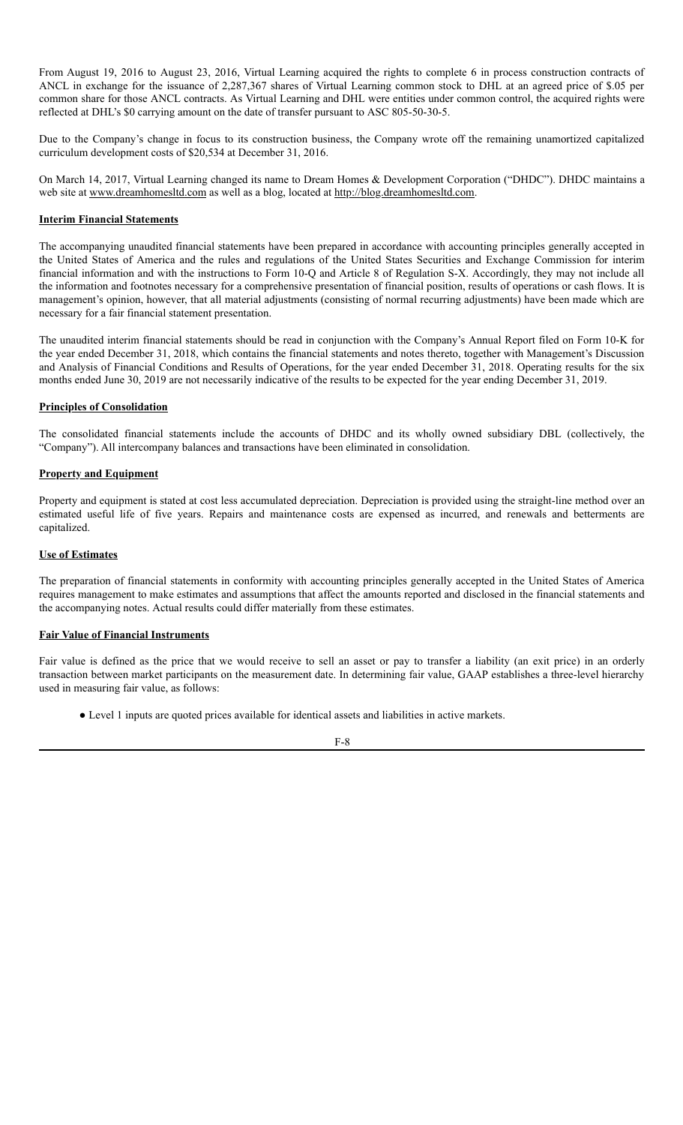From August 19, 2016 to August 23, 2016, Virtual Learning acquired the rights to complete 6 in process construction contracts of ANCL in exchange for the issuance of 2,287,367 shares of Virtual Learning common stock to DHL at an agreed price of \$.05 per common share for those ANCL contracts. As Virtual Learning and DHL were entities under common control, the acquired rights were reflected at DHL's \$0 carrying amount on the date of transfer pursuant to ASC 805-50-30-5.

Due to the Company's change in focus to its construction business, the Company wrote off the remaining unamortized capitalized curriculum development costs of \$20,534 at December 31, 2016.

On March 14, 2017, Virtual Learning changed its name to Dream Homes & Development Corporation ("DHDC"). DHDC maintains a web site at www.dreamhomesltd.com as well as a blog, located at http://blog.dreamhomesltd.com.

# **Interim Financial Statements**

The accompanying unaudited financial statements have been prepared in accordance with accounting principles generally accepted in the United States of America and the rules and regulations of the United States Securities and Exchange Commission for interim financial information and with the instructions to Form 10-Q and Article 8 of Regulation S-X. Accordingly, they may not include all the information and footnotes necessary for a comprehensive presentation of financial position, results of operations or cash flows. It is management's opinion, however, that all material adjustments (consisting of normal recurring adjustments) have been made which are necessary for a fair financial statement presentation.

The unaudited interim financial statements should be read in conjunction with the Company's Annual Report filed on Form 10-K for the year ended December 31, 2018, which contains the financial statements and notes thereto, together with Management's Discussion and Analysis of Financial Conditions and Results of Operations, for the year ended December 31, 2018. Operating results for the six months ended June 30, 2019 are not necessarily indicative of the results to be expected for the year ending December 31, 2019.

## **Principles of Consolidation**

The consolidated financial statements include the accounts of DHDC and its wholly owned subsidiary DBL (collectively, the "Company"). All intercompany balances and transactions have been eliminated in consolidation.

#### **Property and Equipment**

Property and equipment is stated at cost less accumulated depreciation. Depreciation is provided using the straight-line method over an estimated useful life of five years. Repairs and maintenance costs are expensed as incurred, and renewals and betterments are capitalized.

#### **Use of Estimates**

The preparation of financial statements in conformity with accounting principles generally accepted in the United States of America requires management to make estimates and assumptions that affect the amounts reported and disclosed in the financial statements and the accompanying notes. Actual results could differ materially from these estimates.

#### **Fair Value of Financial Instruments**

Fair value is defined as the price that we would receive to sell an asset or pay to transfer a liability (an exit price) in an orderly transaction between market participants on the measurement date. In determining fair value, GAAP establishes a three-level hierarchy used in measuring fair value, as follows:

● Level 1 inputs are quoted prices available for identical assets and liabilities in active markets.

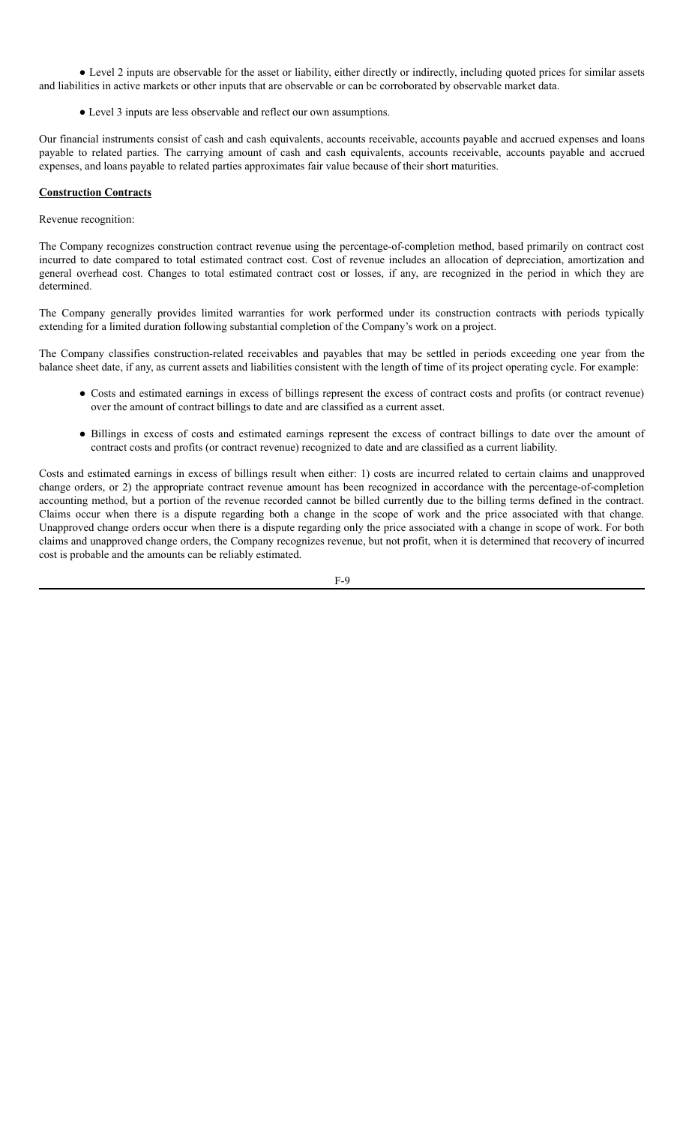● Level 2 inputs are observable for the asset or liability, either directly or indirectly, including quoted prices for similar assets and liabilities in active markets or other inputs that are observable or can be corroborated by observable market data.

● Level 3 inputs are less observable and reflect our own assumptions.

Our financial instruments consist of cash and cash equivalents, accounts receivable, accounts payable and accrued expenses and loans payable to related parties. The carrying amount of cash and cash equivalents, accounts receivable, accounts payable and accrued expenses, and loans payable to related parties approximates fair value because of their short maturities.

# **Construction Contracts**

Revenue recognition:

The Company recognizes construction contract revenue using the percentage-of-completion method, based primarily on contract cost incurred to date compared to total estimated contract cost. Cost of revenue includes an allocation of depreciation, amortization and general overhead cost. Changes to total estimated contract cost or losses, if any, are recognized in the period in which they are determined.

The Company generally provides limited warranties for work performed under its construction contracts with periods typically extending for a limited duration following substantial completion of the Company's work on a project.

The Company classifies construction-related receivables and payables that may be settled in periods exceeding one year from the balance sheet date, if any, as current assets and liabilities consistent with the length of time of its project operating cycle. For example:

- Costs and estimated earnings in excess of billings represent the excess of contract costs and profits (or contract revenue) over the amount of contract billings to date and are classified as a current asset.
- Billings in excess of costs and estimated earnings represent the excess of contract billings to date over the amount of contract costs and profits (or contract revenue) recognized to date and are classified as a current liability.

Costs and estimated earnings in excess of billings result when either: 1) costs are incurred related to certain claims and unapproved change orders, or 2) the appropriate contract revenue amount has been recognized in accordance with the percentage-of-completion accounting method, but a portion of the revenue recorded cannot be billed currently due to the billing terms defined in the contract. Claims occur when there is a dispute regarding both a change in the scope of work and the price associated with that change. Unapproved change orders occur when there is a dispute regarding only the price associated with a change in scope of work. For both claims and unapproved change orders, the Company recognizes revenue, but not profit, when it is determined that recovery of incurred cost is probable and the amounts can be reliably estimated.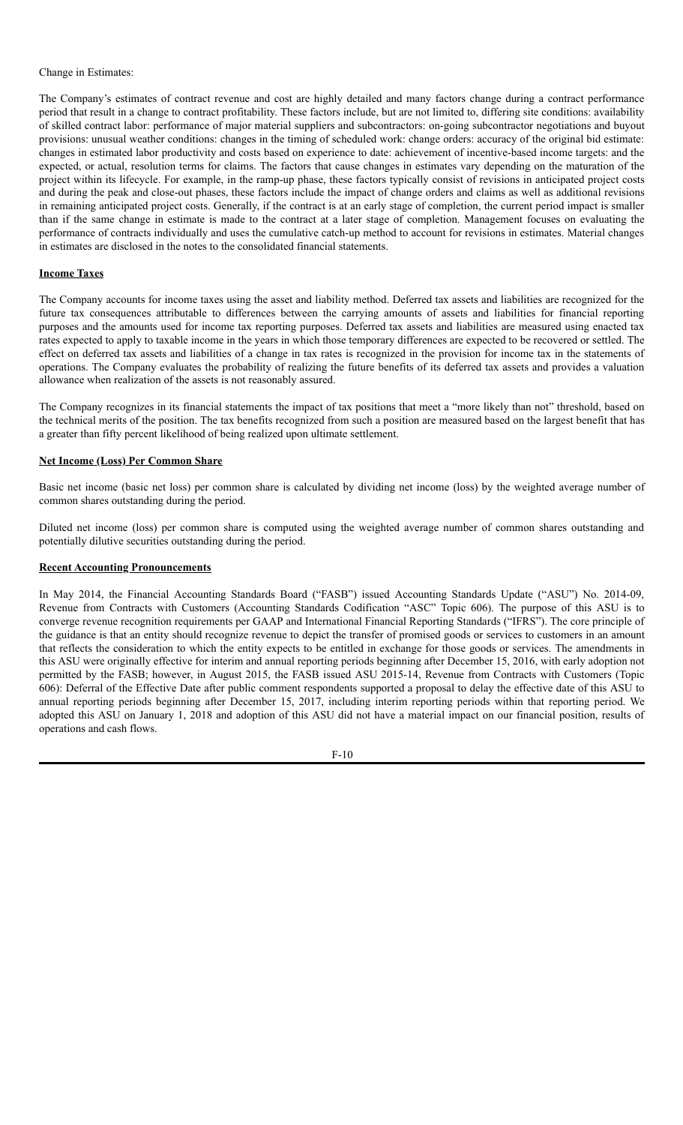#### Change in Estimates:

The Company's estimates of contract revenue and cost are highly detailed and many factors change during a contract performance period that result in a change to contract profitability. These factors include, but are not limited to, differing site conditions: availability of skilled contract labor: performance of major material suppliers and subcontractors: on-going subcontractor negotiations and buyout provisions: unusual weather conditions: changes in the timing of scheduled work: change orders: accuracy of the original bid estimate: changes in estimated labor productivity and costs based on experience to date: achievement of incentive-based income targets: and the expected, or actual, resolution terms for claims. The factors that cause changes in estimates vary depending on the maturation of the project within its lifecycle. For example, in the ramp-up phase, these factors typically consist of revisions in anticipated project costs and during the peak and close-out phases, these factors include the impact of change orders and claims as well as additional revisions in remaining anticipated project costs. Generally, if the contract is at an early stage of completion, the current period impact is smaller than if the same change in estimate is made to the contract at a later stage of completion. Management focuses on evaluating the performance of contracts individually and uses the cumulative catch-up method to account for revisions in estimates. Material changes in estimates are disclosed in the notes to the consolidated financial statements.

#### **Income Taxes**

The Company accounts for income taxes using the asset and liability method. Deferred tax assets and liabilities are recognized for the future tax consequences attributable to differences between the carrying amounts of assets and liabilities for financial reporting purposes and the amounts used for income tax reporting purposes. Deferred tax assets and liabilities are measured using enacted tax rates expected to apply to taxable income in the years in which those temporary differences are expected to be recovered or settled. The effect on deferred tax assets and liabilities of a change in tax rates is recognized in the provision for income tax in the statements of operations. The Company evaluates the probability of realizing the future benefits of its deferred tax assets and provides a valuation allowance when realization of the assets is not reasonably assured.

The Company recognizes in its financial statements the impact of tax positions that meet a "more likely than not" threshold, based on the technical merits of the position. The tax benefits recognized from such a position are measured based on the largest benefit that has a greater than fifty percent likelihood of being realized upon ultimate settlement.

#### **Net Income (Loss) Per Common Share**

Basic net income (basic net loss) per common share is calculated by dividing net income (loss) by the weighted average number of common shares outstanding during the period.

Diluted net income (loss) per common share is computed using the weighted average number of common shares outstanding and potentially dilutive securities outstanding during the period.

#### **Recent Accounting Pronouncements**

In May 2014, the Financial Accounting Standards Board ("FASB") issued Accounting Standards Update ("ASU") No. 2014-09, Revenue from Contracts with Customers (Accounting Standards Codification "ASC" Topic 606). The purpose of this ASU is to converge revenue recognition requirements per GAAP and International Financial Reporting Standards ("IFRS"). The core principle of the guidance is that an entity should recognize revenue to depict the transfer of promised goods or services to customers in an amount that reflects the consideration to which the entity expects to be entitled in exchange for those goods or services. The amendments in this ASU were originally effective for interim and annual reporting periods beginning after December 15, 2016, with early adoption not permitted by the FASB; however, in August 2015, the FASB issued ASU 2015-14, Revenue from Contracts with Customers (Topic 606): Deferral of the Effective Date after public comment respondents supported a proposal to delay the effective date of this ASU to annual reporting periods beginning after December 15, 2017, including interim reporting periods within that reporting period. We adopted this ASU on January 1, 2018 and adoption of this ASU did not have a material impact on our financial position, results of operations and cash flows.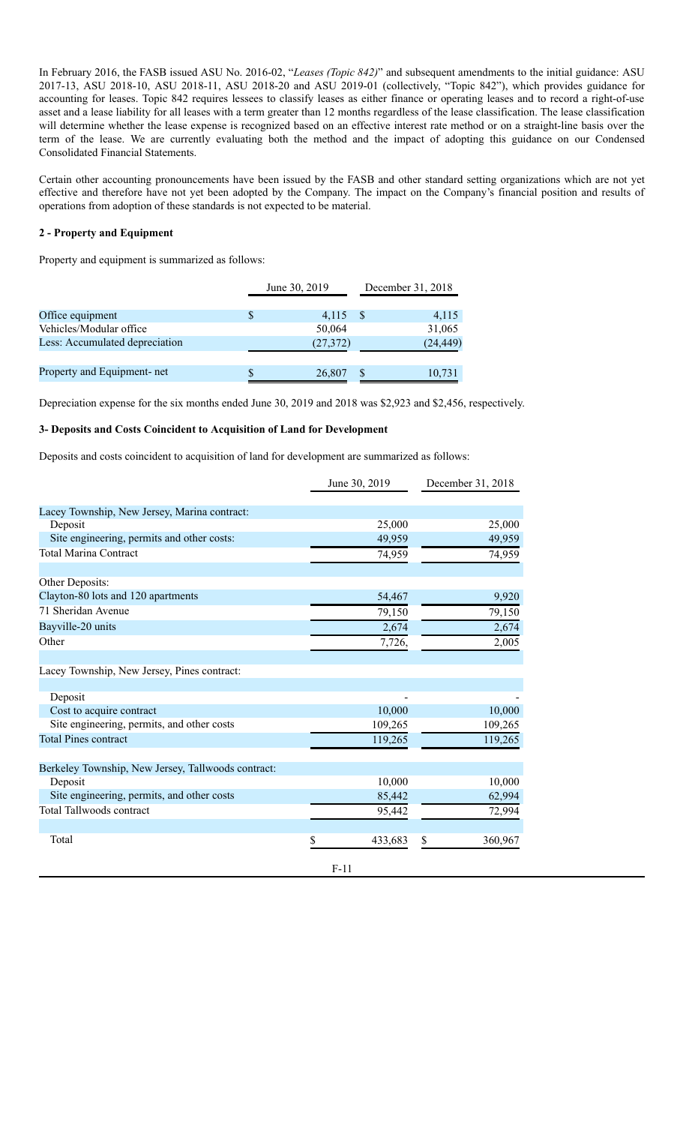In February 2016, the FASB issued ASU No. 2016-02, "*Leases (Topic 842)*" and subsequent amendments to the initial guidance: ASU 2017-13, ASU 2018-10, ASU 2018-11, ASU 2018-20 and ASU 2019-01 (collectively, "Topic 842"), which provides guidance for accounting for leases. Topic 842 requires lessees to classify leases as either finance or operating leases and to record a right-of-use asset and a lease liability for all leases with a term greater than 12 months regardless of the lease classification. The lease classification will determine whether the lease expense is recognized based on an effective interest rate method or on a straight-line basis over the term of the lease. We are currently evaluating both the method and the impact of adopting this guidance on our Condensed Consolidated Financial Statements.

Certain other accounting pronouncements have been issued by the FASB and other standard setting organizations which are not yet effective and therefore have not yet been adopted by the Company. The impact on the Company's financial position and results of operations from adoption of these standards is not expected to be material.

### **2 - Property and Equipment**

Property and equipment is summarized as follows:

|                                | June 30, 2019 |  | December 31, 2018 |
|--------------------------------|---------------|--|-------------------|
| Office equipment               | 4,115         |  | 4,115             |
| Vehicles/Modular office        | 50,064        |  | 31,065            |
| Less: Accumulated depreciation | (27, 372)     |  | (24, 449)         |
|                                |               |  |                   |
| Property and Equipment- net    | 26,807        |  | 10,731            |

Depreciation expense for the six months ended June 30, 2019 and 2018 was \$2,923 and \$2,456, respectively.

#### **3- Deposits and Costs Coincident to Acquisition of Land for Development**

Deposits and costs coincident to acquisition of land for development are summarized as follows:

|                                                    | June 30, 2019 |         | December 31, 2018 |
|----------------------------------------------------|---------------|---------|-------------------|
| Lacey Township, New Jersey, Marina contract:       |               |         |                   |
| Deposit                                            |               | 25,000  | 25,000            |
| Site engineering, permits and other costs:         |               | 49,959  | 49,959            |
| <b>Total Marina Contract</b>                       |               | 74,959  | 74,959            |
|                                                    |               |         |                   |
| Other Deposits:                                    |               |         |                   |
| Clayton-80 lots and 120 apartments                 |               | 54,467  | 9,920             |
| 71 Sheridan Avenue                                 |               | 79,150  | 79,150            |
| Bayville-20 units                                  |               | 2,674   | 2,674             |
| Other                                              |               | 7,726,  | 2,005             |
| Lacey Township, New Jersey, Pines contract:        |               |         |                   |
| Deposit                                            |               |         |                   |
| Cost to acquire contract                           |               | 10,000  | 10,000            |
| Site engineering, permits, and other costs         |               | 109,265 | 109,265           |
| <b>Total Pines contract</b>                        |               | 119,265 | 119,265           |
| Berkeley Township, New Jersey, Tallwoods contract: |               |         |                   |
| Deposit                                            |               | 10,000  | 10,000            |
| Site engineering, permits, and other costs         |               | 85,442  | 62,994            |
| Total Tallwoods contract                           |               | 95,442  | 72,994            |
|                                                    |               |         |                   |
| Total                                              | \$            | 433,683 | \$<br>360,967     |
|                                                    | $F-11$        |         |                   |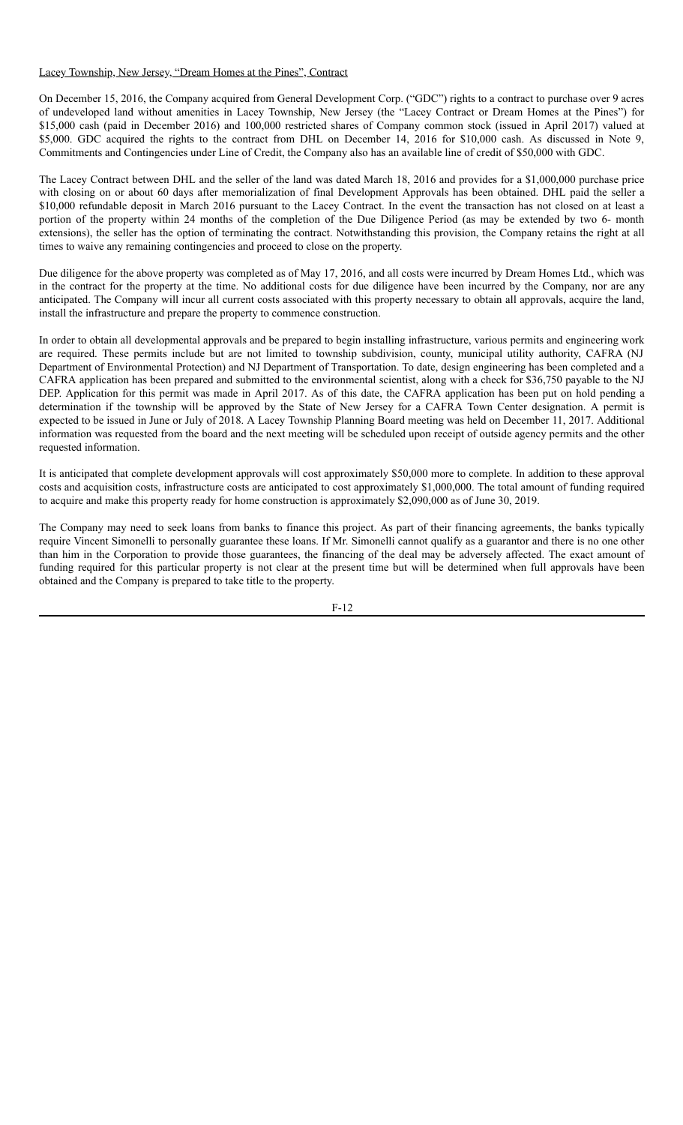# Lacey Township, New Jersey, "Dream Homes at the Pines", Contract

On December 15, 2016, the Company acquired from General Development Corp. ("GDC") rights to a contract to purchase over 9 acres of undeveloped land without amenities in Lacey Township, New Jersey (the "Lacey Contract or Dream Homes at the Pines") for \$15,000 cash (paid in December 2016) and 100,000 restricted shares of Company common stock (issued in April 2017) valued at \$5,000. GDC acquired the rights to the contract from DHL on December 14, 2016 for \$10,000 cash. As discussed in Note 9, Commitments and Contingencies under Line of Credit, the Company also has an available line of credit of \$50,000 with GDC.

The Lacey Contract between DHL and the seller of the land was dated March 18, 2016 and provides for a \$1,000,000 purchase price with closing on or about 60 days after memorialization of final Development Approvals has been obtained. DHL paid the seller a \$10,000 refundable deposit in March 2016 pursuant to the Lacey Contract. In the event the transaction has not closed on at least a portion of the property within 24 months of the completion of the Due Diligence Period (as may be extended by two 6- month extensions), the seller has the option of terminating the contract. Notwithstanding this provision, the Company retains the right at all times to waive any remaining contingencies and proceed to close on the property.

Due diligence for the above property was completed as of May 17, 2016, and all costs were incurred by Dream Homes Ltd., which was in the contract for the property at the time. No additional costs for due diligence have been incurred by the Company, nor are any anticipated. The Company will incur all current costs associated with this property necessary to obtain all approvals, acquire the land, install the infrastructure and prepare the property to commence construction.

In order to obtain all developmental approvals and be prepared to begin installing infrastructure, various permits and engineering work are required. These permits include but are not limited to township subdivision, county, municipal utility authority, CAFRA (NJ Department of Environmental Protection) and NJ Department of Transportation. To date, design engineering has been completed and a CAFRA application has been prepared and submitted to the environmental scientist, along with a check for \$36,750 payable to the NJ DEP. Application for this permit was made in April 2017. As of this date, the CAFRA application has been put on hold pending a determination if the township will be approved by the State of New Jersey for a CAFRA Town Center designation. A permit is expected to be issued in June or July of 2018. A Lacey Township Planning Board meeting was held on December 11, 2017. Additional information was requested from the board and the next meeting will be scheduled upon receipt of outside agency permits and the other requested information.

It is anticipated that complete development approvals will cost approximately \$50,000 more to complete. In addition to these approval costs and acquisition costs, infrastructure costs are anticipated to cost approximately \$1,000,000. The total amount of funding required to acquire and make this property ready for home construction is approximately \$2,090,000 as of June 30, 2019.

The Company may need to seek loans from banks to finance this project. As part of their financing agreements, the banks typically require Vincent Simonelli to personally guarantee these loans. If Mr. Simonelli cannot qualify as a guarantor and there is no one other than him in the Corporation to provide those guarantees, the financing of the deal may be adversely affected. The exact amount of funding required for this particular property is not clear at the present time but will be determined when full approvals have been obtained and the Company is prepared to take title to the property.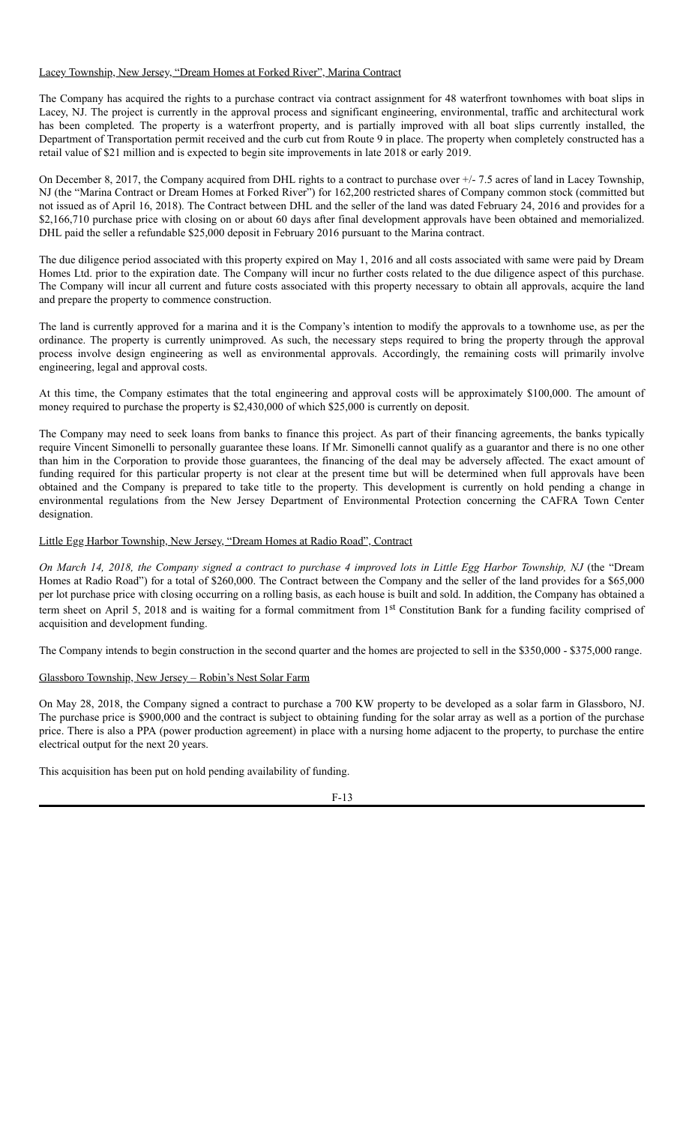#### Lacey Township, New Jersey, "Dream Homes at Forked River", Marina Contract

The Company has acquired the rights to a purchase contract via contract assignment for 48 waterfront townhomes with boat slips in Lacey, NJ. The project is currently in the approval process and significant engineering, environmental, traffic and architectural work has been completed. The property is a waterfront property, and is partially improved with all boat slips currently installed, the Department of Transportation permit received and the curb cut from Route 9 in place. The property when completely constructed has a retail value of \$21 million and is expected to begin site improvements in late 2018 or early 2019.

On December 8, 2017, the Company acquired from DHL rights to a contract to purchase over +/- 7.5 acres of land in Lacey Township, NJ (the "Marina Contract or Dream Homes at Forked River") for 162,200 restricted shares of Company common stock (committed but not issued as of April 16, 2018). The Contract between DHL and the seller of the land was dated February 24, 2016 and provides for a \$2,166,710 purchase price with closing on or about 60 days after final development approvals have been obtained and memorialized. DHL paid the seller a refundable \$25,000 deposit in February 2016 pursuant to the Marina contract.

The due diligence period associated with this property expired on May 1, 2016 and all costs associated with same were paid by Dream Homes Ltd. prior to the expiration date. The Company will incur no further costs related to the due diligence aspect of this purchase. The Company will incur all current and future costs associated with this property necessary to obtain all approvals, acquire the land and prepare the property to commence construction.

The land is currently approved for a marina and it is the Company's intention to modify the approvals to a townhome use, as per the ordinance. The property is currently unimproved. As such, the necessary steps required to bring the property through the approval process involve design engineering as well as environmental approvals. Accordingly, the remaining costs will primarily involve engineering, legal and approval costs.

At this time, the Company estimates that the total engineering and approval costs will be approximately \$100,000. The amount of money required to purchase the property is \$2,430,000 of which \$25,000 is currently on deposit.

The Company may need to seek loans from banks to finance this project. As part of their financing agreements, the banks typically require Vincent Simonelli to personally guarantee these loans. If Mr. Simonelli cannot qualify as a guarantor and there is no one other than him in the Corporation to provide those guarantees, the financing of the deal may be adversely affected. The exact amount of funding required for this particular property is not clear at the present time but will be determined when full approvals have been obtained and the Company is prepared to take title to the property. This development is currently on hold pending a change in environmental regulations from the New Jersey Department of Environmental Protection concerning the CAFRA Town Center designation.

#### Little Egg Harbor Township, New Jersey, "Dream Homes at Radio Road", Contract

On March 14, 2018, the Company signed a contract to purchase 4 improved lots in Little Egg Harbor Township, NJ (the "Dream Homes at Radio Road") for a total of \$260,000. The Contract between the Company and the seller of the land provides for a \$65,000 per lot purchase price with closing occurring on a rolling basis, as each house is built and sold. In addition, the Company has obtained a term sheet on April 5, 2018 and is waiting for a formal commitment from 1<sup>st</sup> Constitution Bank for a funding facility comprised of acquisition and development funding.

The Company intends to begin construction in the second quarter and the homes are projected to sell in the \$350,000 - \$375,000 range.

#### Glassboro Township, New Jersey – Robin's Nest Solar Farm

On May 28, 2018, the Company signed a contract to purchase a 700 KW property to be developed as a solar farm in Glassboro, NJ. The purchase price is \$900,000 and the contract is subject to obtaining funding for the solar array as well as a portion of the purchase price. There is also a PPA (power production agreement) in place with a nursing home adjacent to the property, to purchase the entire electrical output for the next 20 years.

This acquisition has been put on hold pending availability of funding.

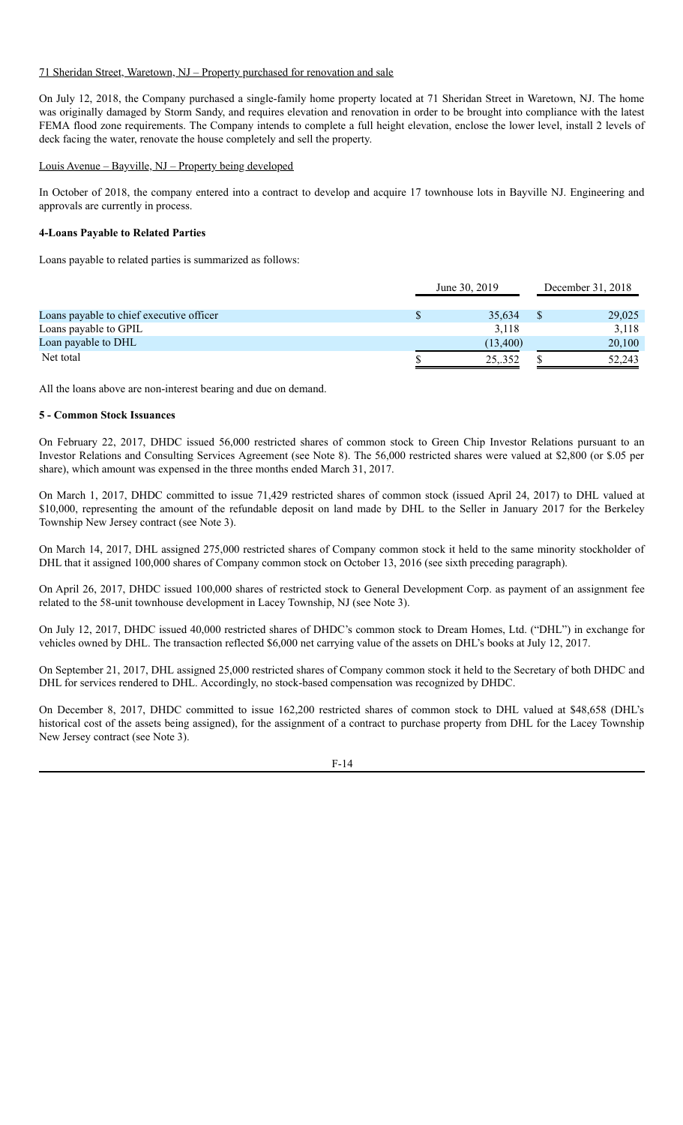71 Sheridan Street, Waretown, NJ – Property purchased for renovation and sale

On July 12, 2018, the Company purchased a single-family home property located at 71 Sheridan Street in Waretown, NJ. The home was originally damaged by Storm Sandy, and requires elevation and renovation in order to be brought into compliance with the latest FEMA flood zone requirements. The Company intends to complete a full height elevation, enclose the lower level, install 2 levels of deck facing the water, renovate the house completely and sell the property.

Louis Avenue – Bayville, NJ – Property being developed

In October of 2018, the company entered into a contract to develop and acquire 17 townhouse lots in Bayville NJ. Engineering and approvals are currently in process.

# **4-Loans Payable to Related Parties**

Loans payable to related parties is summarized as follows:

|                                          | June 30, 2019 | December 31, 2018 |        |  |
|------------------------------------------|---------------|-------------------|--------|--|
|                                          |               |                   |        |  |
| Loans payable to chief executive officer | 35,634        |                   | 29,025 |  |
| Loans payable to GPIL                    | 3,118         |                   | 3,118  |  |
| Loan payable to DHL                      | (13, 400)     |                   | 20,100 |  |
| Net total                                | 25.352        |                   | 52,243 |  |

All the loans above are non-interest bearing and due on demand.

#### **5 - Common Stock Issuances**

On February 22, 2017, DHDC issued 56,000 restricted shares of common stock to Green Chip Investor Relations pursuant to an Investor Relations and Consulting Services Agreement (see Note 8). The 56,000 restricted shares were valued at \$2,800 (or \$.05 per share), which amount was expensed in the three months ended March 31, 2017.

On March 1, 2017, DHDC committed to issue 71,429 restricted shares of common stock (issued April 24, 2017) to DHL valued at \$10,000, representing the amount of the refundable deposit on land made by DHL to the Seller in January 2017 for the Berkeley Township New Jersey contract (see Note 3).

On March 14, 2017, DHL assigned 275,000 restricted shares of Company common stock it held to the same minority stockholder of DHL that it assigned 100,000 shares of Company common stock on October 13, 2016 (see sixth preceding paragraph).

On April 26, 2017, DHDC issued 100,000 shares of restricted stock to General Development Corp. as payment of an assignment fee related to the 58-unit townhouse development in Lacey Township, NJ (see Note 3).

On July 12, 2017, DHDC issued 40,000 restricted shares of DHDC's common stock to Dream Homes, Ltd. ("DHL") in exchange for vehicles owned by DHL. The transaction reflected \$6,000 net carrying value of the assets on DHL's books at July 12, 2017.

On September 21, 2017, DHL assigned 25,000 restricted shares of Company common stock it held to the Secretary of both DHDC and DHL for services rendered to DHL. Accordingly, no stock-based compensation was recognized by DHDC.

On December 8, 2017, DHDC committed to issue 162,200 restricted shares of common stock to DHL valued at \$48,658 (DHL's historical cost of the assets being assigned), for the assignment of a contract to purchase property from DHL for the Lacey Township New Jersey contract (see Note 3).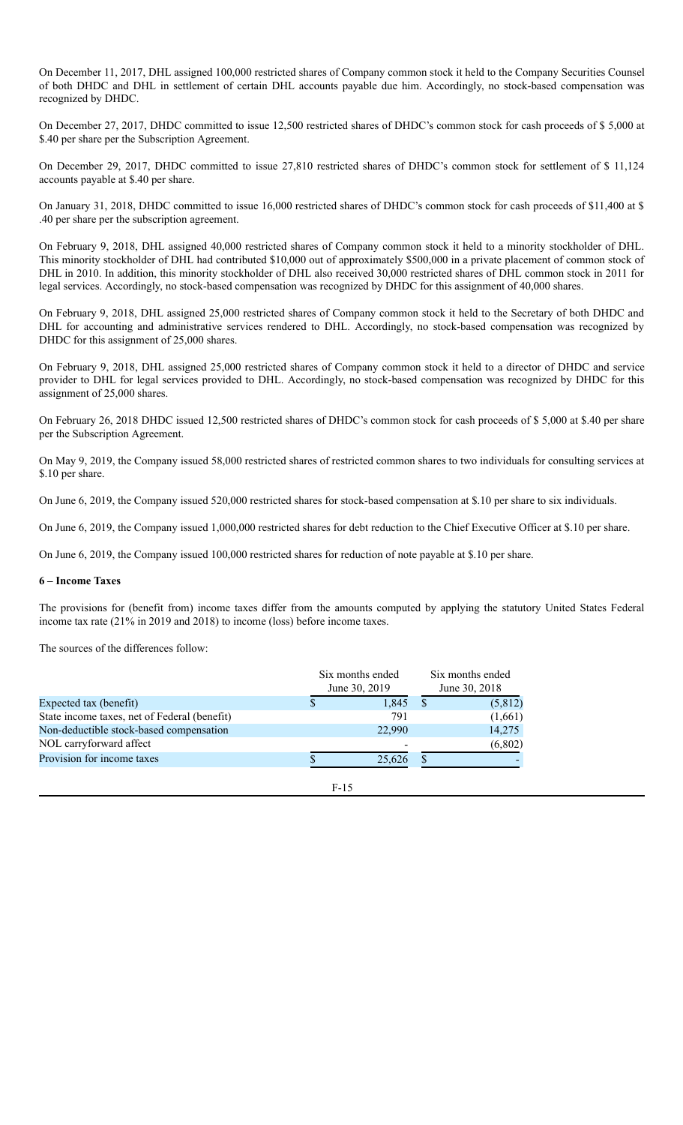On December 11, 2017, DHL assigned 100,000 restricted shares of Company common stock it held to the Company Securities Counsel of both DHDC and DHL in settlement of certain DHL accounts payable due him. Accordingly, no stock-based compensation was recognized by DHDC.

On December 27, 2017, DHDC committed to issue 12,500 restricted shares of DHDC's common stock for cash proceeds of \$ 5,000 at \$.40 per share per the Subscription Agreement.

On December 29, 2017, DHDC committed to issue 27,810 restricted shares of DHDC's common stock for settlement of \$ 11,124 accounts payable at \$.40 per share.

On January 31, 2018, DHDC committed to issue 16,000 restricted shares of DHDC's common stock for cash proceeds of \$11,400 at \$ .40 per share per the subscription agreement.

On February 9, 2018, DHL assigned 40,000 restricted shares of Company common stock it held to a minority stockholder of DHL. This minority stockholder of DHL had contributed \$10,000 out of approximately \$500,000 in a private placement of common stock of DHL in 2010. In addition, this minority stockholder of DHL also received 30,000 restricted shares of DHL common stock in 2011 for legal services. Accordingly, no stock-based compensation was recognized by DHDC for this assignment of 40,000 shares.

On February 9, 2018, DHL assigned 25,000 restricted shares of Company common stock it held to the Secretary of both DHDC and DHL for accounting and administrative services rendered to DHL. Accordingly, no stock-based compensation was recognized by DHDC for this assignment of 25,000 shares.

On February 9, 2018, DHL assigned 25,000 restricted shares of Company common stock it held to a director of DHDC and service provider to DHL for legal services provided to DHL. Accordingly, no stock-based compensation was recognized by DHDC for this assignment of 25,000 shares.

On February 26, 2018 DHDC issued 12,500 restricted shares of DHDC's common stock for cash proceeds of \$ 5,000 at \$.40 per share per the Subscription Agreement.

On May 9, 2019, the Company issued 58,000 restricted shares of restricted common shares to two individuals for consulting services at \$.10 per share.

On June 6, 2019, the Company issued 520,000 restricted shares for stock-based compensation at \$.10 per share to six individuals.

On June 6, 2019, the Company issued 1,000,000 restricted shares for debt reduction to the Chief Executive Officer at \$.10 per share.

On June 6, 2019, the Company issued 100,000 restricted shares for reduction of note payable at \$.10 per share.

#### **6 – Income Taxes**

The provisions for (benefit from) income taxes differ from the amounts computed by applying the statutory United States Federal income tax rate (21% in 2019 and 2018) to income (loss) before income taxes.

The sources of the differences follow:

|                                              |        | Six months ended<br>June 30, 2019 | Six months ended<br>June 30, 2018 |         |  |
|----------------------------------------------|--------|-----------------------------------|-----------------------------------|---------|--|
| Expected tax (benefit)                       |        | 1,845                             |                                   | (5,812) |  |
| State income taxes, net of Federal (benefit) |        | 791                               |                                   | (1,661) |  |
| Non-deductible stock-based compensation      |        | 22,990                            |                                   | 14,275  |  |
| NOL carryforward affect                      |        |                                   |                                   | (6,802) |  |
| Provision for income taxes                   |        | 25,626                            |                                   |         |  |
|                                              | $F-15$ |                                   |                                   |         |  |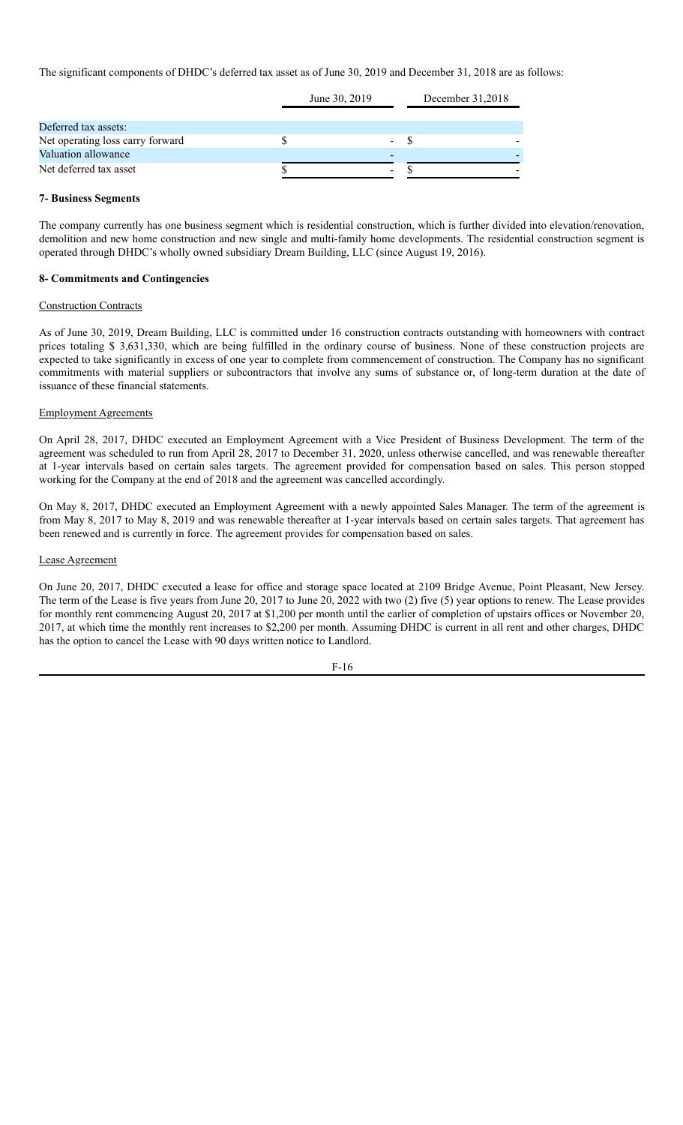The significant components of DHDC's deferred tax asset as of June 30, 2019 and December 31, 2018 are as follows:

|                                  | June 30, 2019 |  | December $31,2018$ |
|----------------------------------|---------------|--|--------------------|
|                                  |               |  |                    |
| Deferred tax assets:             |               |  |                    |
| Net operating loss carry forward |               |  |                    |
| Valuation allowance              |               |  |                    |
| Net deferred tax asset           |               |  |                    |

#### **7- Business Segments**

The company currently has one business segment which is residential construction, which is further divided into elevation/renovation, demolition and new home construction and new single and multi-family home developments. The residential construction segment is operated through DHDC's wholly owned subsidiary Dream Building, LLC (since August 19, 2016).

#### **8- Commitments and Contingencies**

#### Construction Contracts

As of June 30, 2019, Dream Building, LLC is committed under 16 construction contracts outstanding with homeowners with contract prices totaling \$ 3,631,330, which are being fulfilled in the ordinary course of business. None of these construction projects are expected to take significantly in excess of one year to complete from commencement of construction. The Company has no significant commitments with material suppliers or subcontractors that involve any sums of substance or, of long-term duration at the date of issuance of these financial statements.

#### Employment Agreements

On April 28, 2017, DHDC executed an Employment Agreement with a Vice President of Business Development. The term of the agreement was scheduled to run from April 28, 2017 to December 31, 2020, unless otherwise cancelled, and was renewable thereafter at 1-year intervals based on certain sales targets. The agreement provided for compensation based on sales. This person stopped working for the Company at the end of 2018 and the agreement was cancelled accordingly.

On May 8, 2017, DHDC executed an Employment Agreement with a newly appointed Sales Manager. The term of the agreement is from May 8, 2017 to May 8, 2019 and was renewable thereafter at 1-year intervals based on certain sales targets. That agreement has been renewed and is currently in force. The agreement provides for compensation based on sales.

#### Lease Agreement

On June 20, 2017, DHDC executed a lease for office and storage space located at 2109 Bridge Avenue, Point Pleasant, New Jersey. The term of the Lease is five years from June 20, 2017 to June 20, 2022 with two (2) five (5) year options to renew. The Lease provides for monthly rent commencing August 20, 2017 at \$1,200 per month until the earlier of completion of upstairs offices or November 20, 2017, at which time the monthly rent increases to \$2,200 per month. Assuming DHDC is current in all rent and other charges, DHDC has the option to cancel the Lease with 90 days written notice to Landlord.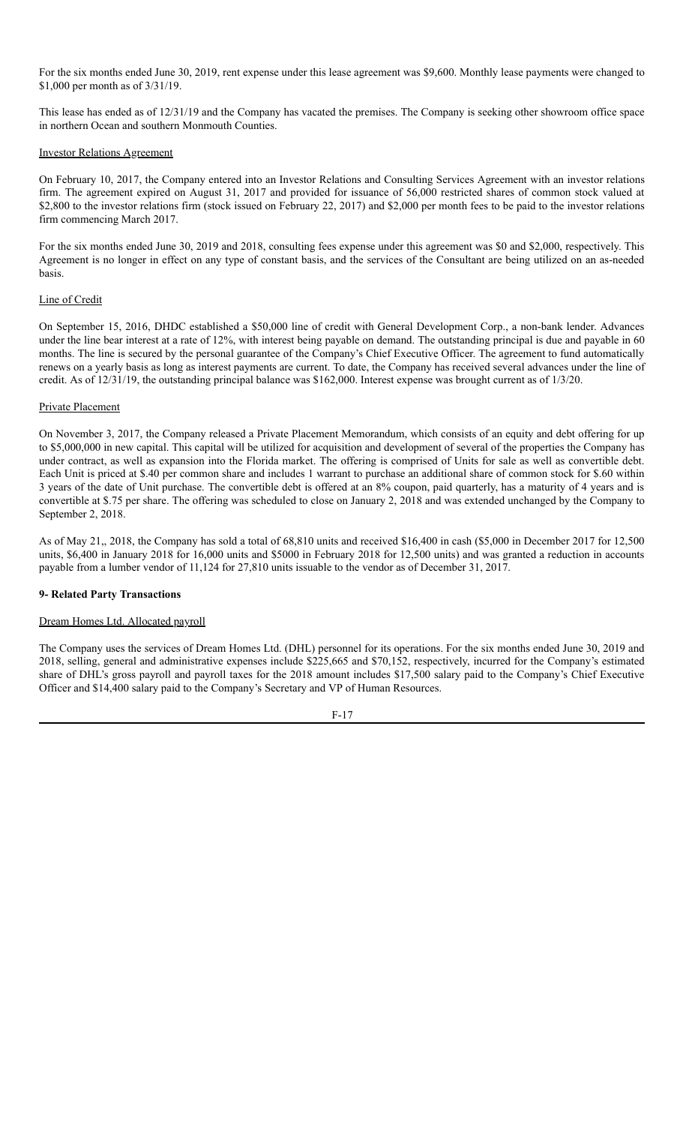For the six months ended June 30, 2019, rent expense under this lease agreement was \$9,600. Monthly lease payments were changed to \$1,000 per month as of 3/31/19.

This lease has ended as of 12/31/19 and the Company has vacated the premises. The Company is seeking other showroom office space in northern Ocean and southern Monmouth Counties.

#### Investor Relations Agreement

On February 10, 2017, the Company entered into an Investor Relations and Consulting Services Agreement with an investor relations firm. The agreement expired on August 31, 2017 and provided for issuance of 56,000 restricted shares of common stock valued at \$2,800 to the investor relations firm (stock issued on February 22, 2017) and \$2,000 per month fees to be paid to the investor relations firm commencing March 2017.

For the six months ended June 30, 2019 and 2018, consulting fees expense under this agreement was \$0 and \$2,000, respectively. This Agreement is no longer in effect on any type of constant basis, and the services of the Consultant are being utilized on an as-needed basis.

#### Line of Credit

On September 15, 2016, DHDC established a \$50,000 line of credit with General Development Corp., a non-bank lender. Advances under the line bear interest at a rate of 12%, with interest being payable on demand. The outstanding principal is due and payable in 60 months. The line is secured by the personal guarantee of the Company's Chief Executive Officer. The agreement to fund automatically renews on a yearly basis as long as interest payments are current. To date, the Company has received several advances under the line of credit. As of 12/31/19, the outstanding principal balance was \$162,000. Interest expense was brought current as of 1/3/20.

## Private Placement

On November 3, 2017, the Company released a Private Placement Memorandum, which consists of an equity and debt offering for up to \$5,000,000 in new capital. This capital will be utilized for acquisition and development of several of the properties the Company has under contract, as well as expansion into the Florida market. The offering is comprised of Units for sale as well as convertible debt. Each Unit is priced at \$.40 per common share and includes 1 warrant to purchase an additional share of common stock for \$.60 within 3 years of the date of Unit purchase. The convertible debt is offered at an 8% coupon, paid quarterly, has a maturity of 4 years and is convertible at \$.75 per share. The offering was scheduled to close on January 2, 2018 and was extended unchanged by the Company to September 2, 2018.

As of May 21,, 2018, the Company has sold a total of 68,810 units and received \$16,400 in cash (\$5,000 in December 2017 for 12,500 units, \$6,400 in January 2018 for 16,000 units and \$5000 in February 2018 for 12,500 units) and was granted a reduction in accounts payable from a lumber vendor of 11,124 for 27,810 units issuable to the vendor as of December 31, 2017.

#### **9- Related Party Transactions**

#### Dream Homes Ltd. Allocated payroll

The Company uses the services of Dream Homes Ltd. (DHL) personnel for its operations. For the six months ended June 30, 2019 and 2018, selling, general and administrative expenses include \$225,665 and \$70,152, respectively, incurred for the Company's estimated share of DHL's gross payroll and payroll taxes for the 2018 amount includes \$17,500 salary paid to the Company's Chief Executive Officer and \$14,400 salary paid to the Company's Secretary and VP of Human Resources.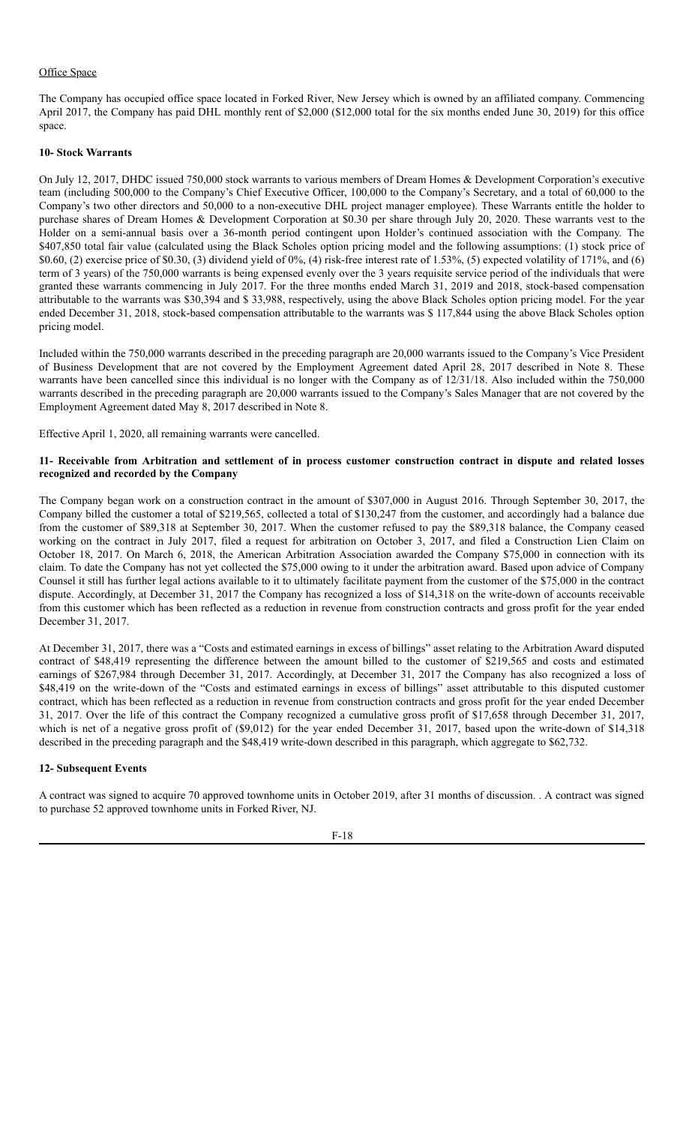## Office Space

The Company has occupied office space located in Forked River, New Jersey which is owned by an affiliated company. Commencing April 2017, the Company has paid DHL monthly rent of \$2,000 (\$12,000 total for the six months ended June 30, 2019) for this office space.

#### **10- Stock Warrants**

On July 12, 2017, DHDC issued 750,000 stock warrants to various members of Dream Homes & Development Corporation's executive team (including 500,000 to the Company's Chief Executive Officer, 100,000 to the Company's Secretary, and a total of 60,000 to the Company's two other directors and 50,000 to a non-executive DHL project manager employee). These Warrants entitle the holder to purchase shares of Dream Homes & Development Corporation at \$0.30 per share through July 20, 2020. These warrants vest to the Holder on a semi-annual basis over a 36-month period contingent upon Holder's continued association with the Company. The \$407,850 total fair value (calculated using the Black Scholes option pricing model and the following assumptions: (1) stock price of \$0.60, (2) exercise price of \$0.30, (3) dividend yield of 0%, (4) risk-free interest rate of 1.53%, (5) expected volatility of 171%, and (6) term of 3 years) of the 750,000 warrants is being expensed evenly over the 3 years requisite service period of the individuals that were granted these warrants commencing in July 2017. For the three months ended March 31, 2019 and 2018, stock-based compensation attributable to the warrants was \$30,394 and \$ 33,988, respectively, using the above Black Scholes option pricing model. For the year ended December 31, 2018, stock-based compensation attributable to the warrants was \$ 117,844 using the above Black Scholes option pricing model.

Included within the 750,000 warrants described in the preceding paragraph are 20,000 warrants issued to the Company's Vice President of Business Development that are not covered by the Employment Agreement dated April 28, 2017 described in Note 8. These warrants have been cancelled since this individual is no longer with the Company as of 12/31/18. Also included within the 750,000 warrants described in the preceding paragraph are 20,000 warrants issued to the Company's Sales Manager that are not covered by the Employment Agreement dated May 8, 2017 described in Note 8.

Effective April 1, 2020, all remaining warrants were cancelled.

### 11- Receivable from Arbitration and settlement of in process customer construction contract in dispute and related losses **recognized and recorded by the Company**

The Company began work on a construction contract in the amount of \$307,000 in August 2016. Through September 30, 2017, the Company billed the customer a total of \$219,565, collected a total of \$130,247 from the customer, and accordingly had a balance due from the customer of \$89,318 at September 30, 2017. When the customer refused to pay the \$89,318 balance, the Company ceased working on the contract in July 2017, filed a request for arbitration on October 3, 2017, and filed a Construction Lien Claim on October 18, 2017. On March 6, 2018, the American Arbitration Association awarded the Company \$75,000 in connection with its claim. To date the Company has not yet collected the \$75,000 owing to it under the arbitration award. Based upon advice of Company Counsel it still has further legal actions available to it to ultimately facilitate payment from the customer of the \$75,000 in the contract dispute. Accordingly, at December 31, 2017 the Company has recognized a loss of \$14,318 on the write-down of accounts receivable from this customer which has been reflected as a reduction in revenue from construction contracts and gross profit for the year ended December 31, 2017.

At December 31, 2017, there was a "Costs and estimated earnings in excess of billings" asset relating to the Arbitration Award disputed contract of \$48,419 representing the difference between the amount billed to the customer of \$219,565 and costs and estimated earnings of \$267,984 through December 31, 2017. Accordingly, at December 31, 2017 the Company has also recognized a loss of \$48,419 on the write-down of the "Costs and estimated earnings in excess of billings" asset attributable to this disputed customer contract, which has been reflected as a reduction in revenue from construction contracts and gross profit for the year ended December 31, 2017. Over the life of this contract the Company recognized a cumulative gross profit of \$17,658 through December 31, 2017, which is net of a negative gross profit of (\$9,012) for the year ended December 31, 2017, based upon the write-down of \$14,318 described in the preceding paragraph and the \$48,419 write-down described in this paragraph, which aggregate to \$62,732.

## **12- Subsequent Events**

A contract was signed to acquire 70 approved townhome units in October 2019, after 31 months of discussion. . A contract was signed to purchase 52 approved townhome units in Forked River, NJ.

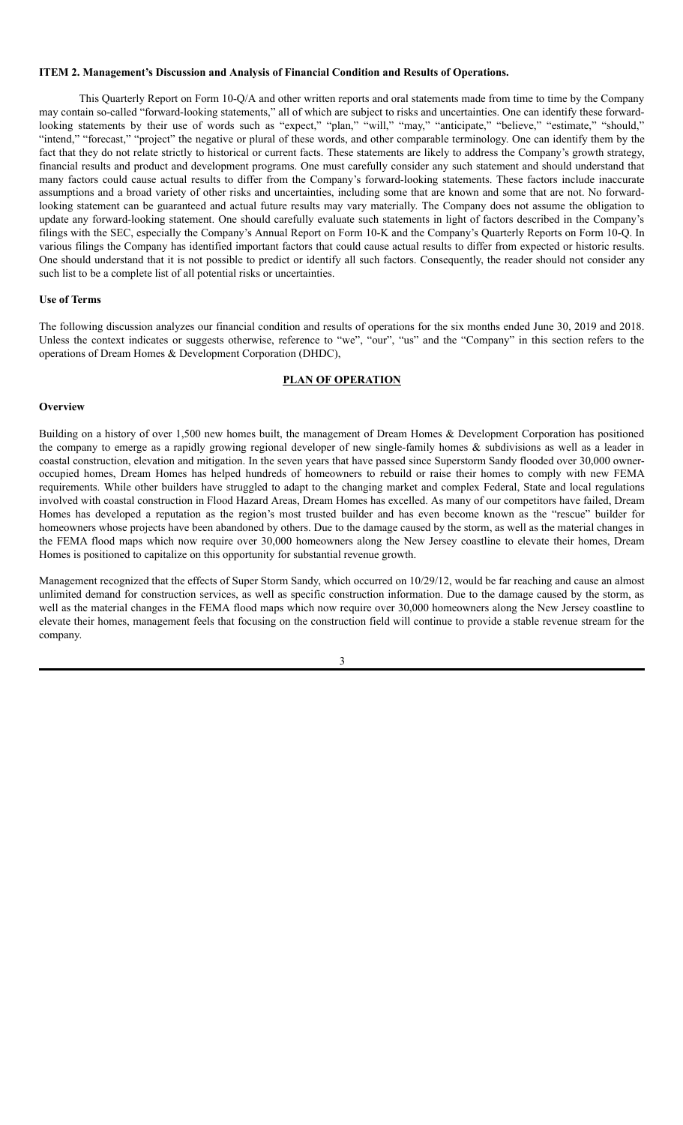#### <span id="page-18-0"></span>**ITEM 2. Management's Discussion and Analysis of Financial Condition and Results of Operations.**

This Quarterly Report on Form 10-Q/A and other written reports and oral statements made from time to time by the Company may contain so-called "forward-looking statements," all of which are subject to risks and uncertainties. One can identify these forwardlooking statements by their use of words such as "expect," "plan," "will," "may," "anticipate," "believe," "estimate," "should," "intend," "forecast," "project" the negative or plural of these words, and other comparable terminology. One can identify them by the fact that they do not relate strictly to historical or current facts. These statements are likely to address the Company's growth strategy, financial results and product and development programs. One must carefully consider any such statement and should understand that many factors could cause actual results to differ from the Company's forward-looking statements. These factors include inaccurate assumptions and a broad variety of other risks and uncertainties, including some that are known and some that are not. No forwardlooking statement can be guaranteed and actual future results may vary materially. The Company does not assume the obligation to update any forward-looking statement. One should carefully evaluate such statements in light of factors described in the Company's filings with the SEC, especially the Company's Annual Report on Form 10-K and the Company's Quarterly Reports on Form 10-Q. In various filings the Company has identified important factors that could cause actual results to differ from expected or historic results. One should understand that it is not possible to predict or identify all such factors. Consequently, the reader should not consider any such list to be a complete list of all potential risks or uncertainties.

#### **Use of Terms**

The following discussion analyzes our financial condition and results of operations for the six months ended June 30, 2019 and 2018. Unless the context indicates or suggests otherwise, reference to "we", "our", "us" and the "Company" in this section refers to the operations of Dream Homes & Development Corporation (DHDC),

#### **PLAN OF OPERATION**

#### **Overview**

Building on a history of over 1,500 new homes built, the management of Dream Homes & Development Corporation has positioned the company to emerge as a rapidly growing regional developer of new single-family homes & subdivisions as well as a leader in coastal construction, elevation and mitigation. In the seven years that have passed since Superstorm Sandy flooded over 30,000 owneroccupied homes, Dream Homes has helped hundreds of homeowners to rebuild or raise their homes to comply with new FEMA requirements. While other builders have struggled to adapt to the changing market and complex Federal, State and local regulations involved with coastal construction in Flood Hazard Areas, Dream Homes has excelled. As many of our competitors have failed, Dream Homes has developed a reputation as the region's most trusted builder and has even become known as the "rescue" builder for homeowners whose projects have been abandoned by others. Due to the damage caused by the storm, as well as the material changes in the FEMA flood maps which now require over 30,000 homeowners along the New Jersey coastline to elevate their homes, Dream Homes is positioned to capitalize on this opportunity for substantial revenue growth.

Management recognized that the effects of Super Storm Sandy, which occurred on 10/29/12, would be far reaching and cause an almost unlimited demand for construction services, as well as specific construction information. Due to the damage caused by the storm, as well as the material changes in the FEMA flood maps which now require over 30,000 homeowners along the New Jersey coastline to elevate their homes, management feels that focusing on the construction field will continue to provide a stable revenue stream for the company.

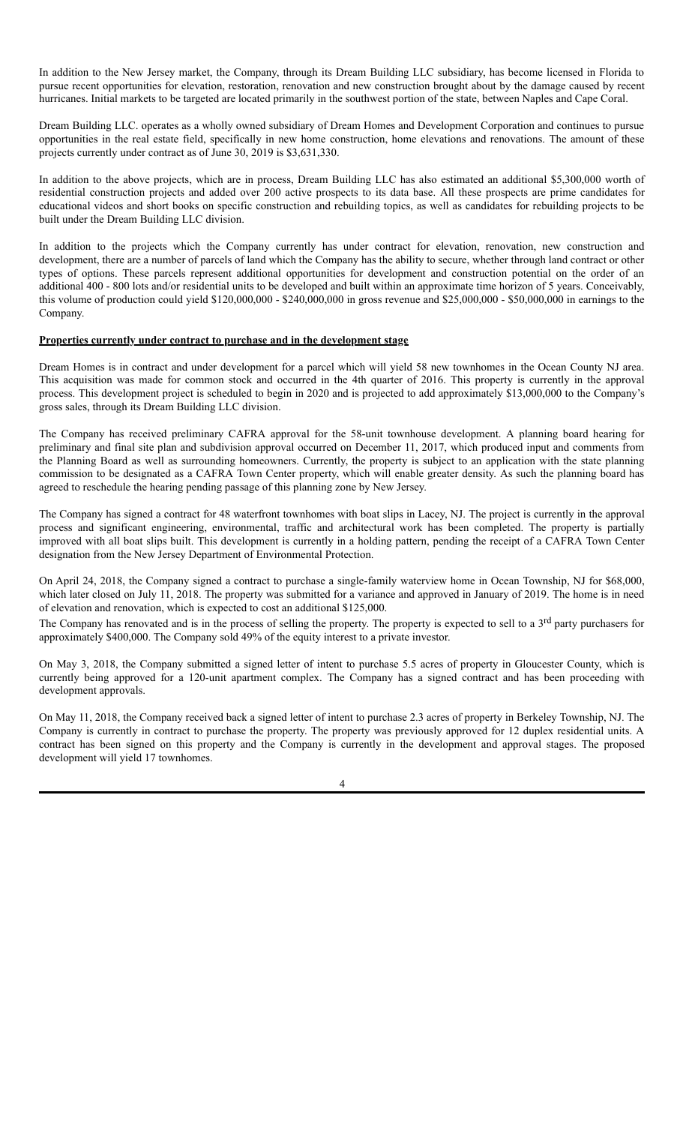In addition to the New Jersey market, the Company, through its Dream Building LLC subsidiary, has become licensed in Florida to pursue recent opportunities for elevation, restoration, renovation and new construction brought about by the damage caused by recent hurricanes. Initial markets to be targeted are located primarily in the southwest portion of the state, between Naples and Cape Coral.

Dream Building LLC. operates as a wholly owned subsidiary of Dream Homes and Development Corporation and continues to pursue opportunities in the real estate field, specifically in new home construction, home elevations and renovations. The amount of these projects currently under contract as of June 30, 2019 is \$3,631,330.

In addition to the above projects, which are in process, Dream Building LLC has also estimated an additional \$5,300,000 worth of residential construction projects and added over 200 active prospects to its data base. All these prospects are prime candidates for educational videos and short books on specific construction and rebuilding topics, as well as candidates for rebuilding projects to be built under the Dream Building LLC division.

In addition to the projects which the Company currently has under contract for elevation, renovation, new construction and development, there are a number of parcels of land which the Company has the ability to secure, whether through land contract or other types of options. These parcels represent additional opportunities for development and construction potential on the order of an additional 400 - 800 lots and/or residential units to be developed and built within an approximate time horizon of 5 years. Conceivably, this volume of production could yield \$120,000,000 - \$240,000,000 in gross revenue and \$25,000,000 - \$50,000,000 in earnings to the Company.

### **Properties currently under contract to purchase and in the development stage**

Dream Homes is in contract and under development for a parcel which will yield 58 new townhomes in the Ocean County NJ area. This acquisition was made for common stock and occurred in the 4th quarter of 2016. This property is currently in the approval process. This development project is scheduled to begin in 2020 and is projected to add approximately \$13,000,000 to the Company's gross sales, through its Dream Building LLC division.

The Company has received preliminary CAFRA approval for the 58-unit townhouse development. A planning board hearing for preliminary and final site plan and subdivision approval occurred on December 11, 2017, which produced input and comments from the Planning Board as well as surrounding homeowners. Currently, the property is subject to an application with the state planning commission to be designated as a CAFRA Town Center property, which will enable greater density. As such the planning board has agreed to reschedule the hearing pending passage of this planning zone by New Jersey.

The Company has signed a contract for 48 waterfront townhomes with boat slips in Lacey, NJ. The project is currently in the approval process and significant engineering, environmental, traffic and architectural work has been completed. The property is partially improved with all boat slips built. This development is currently in a holding pattern, pending the receipt of a CAFRA Town Center designation from the New Jersey Department of Environmental Protection.

On April 24, 2018, the Company signed a contract to purchase a single-family waterview home in Ocean Township, NJ for \$68,000, which later closed on July 11, 2018. The property was submitted for a variance and approved in January of 2019. The home is in need of elevation and renovation, which is expected to cost an additional \$125,000.

The Company has renovated and is in the process of selling the property. The property is expected to sell to a 3<sup>rd</sup> party purchasers for approximately \$400,000. The Company sold 49% of the equity interest to a private investor.

On May 3, 2018, the Company submitted a signed letter of intent to purchase 5.5 acres of property in Gloucester County, which is currently being approved for a 120-unit apartment complex. The Company has a signed contract and has been proceeding with development approvals.

On May 11, 2018, the Company received back a signed letter of intent to purchase 2.3 acres of property in Berkeley Township, NJ. The Company is currently in contract to purchase the property. The property was previously approved for 12 duplex residential units. A contract has been signed on this property and the Company is currently in the development and approval stages. The proposed development will yield 17 townhomes.

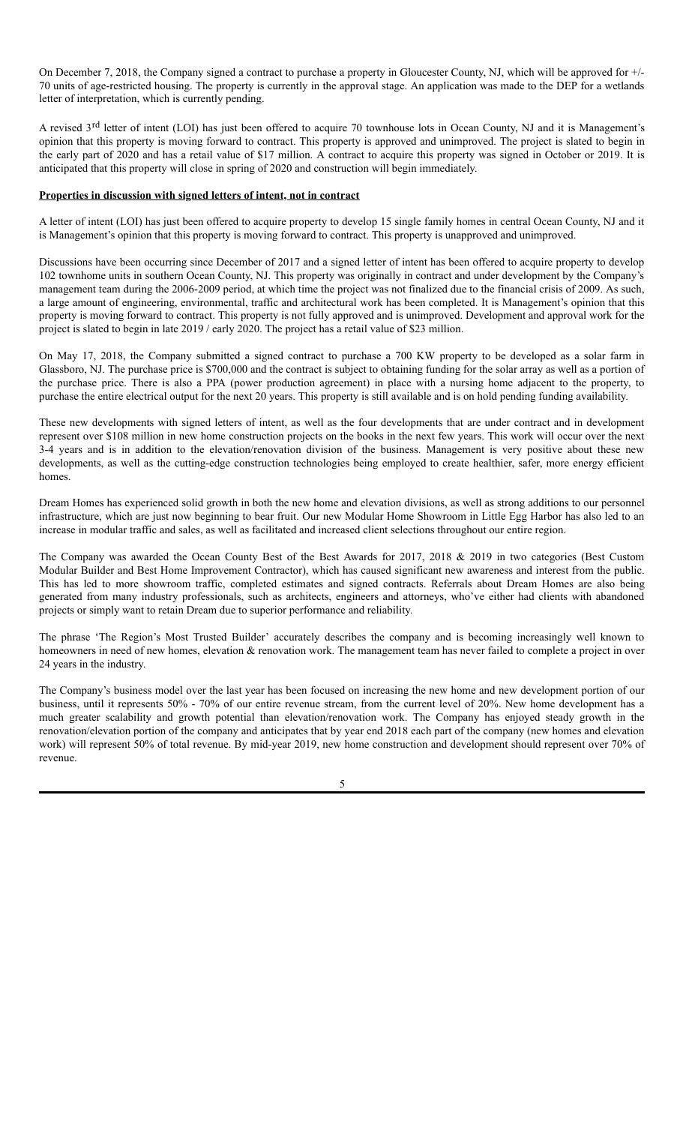On December 7, 2018, the Company signed a contract to purchase a property in Gloucester County, NJ, which will be approved for +/- 70 units of age-restricted housing. The property is currently in the approval stage. An application was made to the DEP for a wetlands letter of interpretation, which is currently pending.

A revised 3<sup>rd</sup> letter of intent (LOI) has just been offered to acquire 70 townhouse lots in Ocean County, NJ and it is Management's opinion that this property is moving forward to contract. This property is approved and unimproved. The project is slated to begin in the early part of 2020 and has a retail value of \$17 million. A contract to acquire this property was signed in October or 2019. It is anticipated that this property will close in spring of 2020 and construction will begin immediately.

## **Properties in discussion with signed letters of intent, not in contract**

A letter of intent (LOI) has just been offered to acquire property to develop 15 single family homes in central Ocean County, NJ and it is Management's opinion that this property is moving forward to contract. This property is unapproved and unimproved.

Discussions have been occurring since December of 2017 and a signed letter of intent has been offered to acquire property to develop 102 townhome units in southern Ocean County, NJ. This property was originally in contract and under development by the Company's management team during the 2006-2009 period, at which time the project was not finalized due to the financial crisis of 2009. As such, a large amount of engineering, environmental, traffic and architectural work has been completed. It is Management's opinion that this property is moving forward to contract. This property is not fully approved and is unimproved. Development and approval work for the project is slated to begin in late 2019 / early 2020. The project has a retail value of \$23 million.

On May 17, 2018, the Company submitted a signed contract to purchase a 700 KW property to be developed as a solar farm in Glassboro, NJ. The purchase price is \$700,000 and the contract is subject to obtaining funding for the solar array as well as a portion of the purchase price. There is also a PPA (power production agreement) in place with a nursing home adjacent to the property, to purchase the entire electrical output for the next 20 years. This property is still available and is on hold pending funding availability.

These new developments with signed letters of intent, as well as the four developments that are under contract and in development represent over \$108 million in new home construction projects on the books in the next few years. This work will occur over the next 3-4 years and is in addition to the elevation/renovation division of the business. Management is very positive about these new developments, as well as the cutting-edge construction technologies being employed to create healthier, safer, more energy efficient homes.

Dream Homes has experienced solid growth in both the new home and elevation divisions, as well as strong additions to our personnel infrastructure, which are just now beginning to bear fruit. Our new Modular Home Showroom in Little Egg Harbor has also led to an increase in modular traffic and sales, as well as facilitated and increased client selections throughout our entire region.

The Company was awarded the Ocean County Best of the Best Awards for 2017, 2018 & 2019 in two categories (Best Custom Modular Builder and Best Home Improvement Contractor), which has caused significant new awareness and interest from the public. This has led to more showroom traffic, completed estimates and signed contracts. Referrals about Dream Homes are also being generated from many industry professionals, such as architects, engineers and attorneys, who've either had clients with abandoned projects or simply want to retain Dream due to superior performance and reliability.

The phrase 'The Region's Most Trusted Builder' accurately describes the company and is becoming increasingly well known to homeowners in need of new homes, elevation & renovation work. The management team has never failed to complete a project in over 24 years in the industry.

The Company's business model over the last year has been focused on increasing the new home and new development portion of our business, until it represents 50% - 70% of our entire revenue stream, from the current level of 20%. New home development has a much greater scalability and growth potential than elevation/renovation work. The Company has enjoyed steady growth in the renovation/elevation portion of the company and anticipates that by year end 2018 each part of the company (new homes and elevation work) will represent 50% of total revenue. By mid-year 2019, new home construction and development should represent over 70% of revenue.

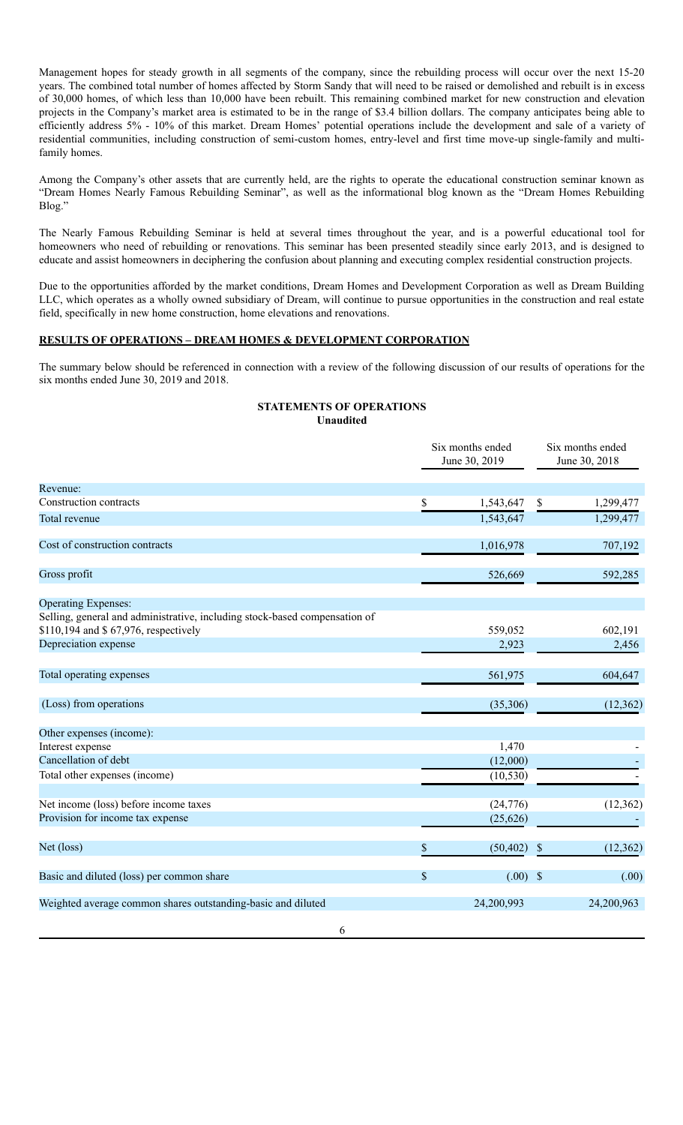Management hopes for steady growth in all segments of the company, since the rebuilding process will occur over the next 15-20 years. The combined total number of homes affected by Storm Sandy that will need to be raised or demolished and rebuilt is in excess of 30,000 homes, of which less than 10,000 have been rebuilt. This remaining combined market for new construction and elevation projects in the Company's market area is estimated to be in the range of \$3.4 billion dollars. The company anticipates being able to efficiently address 5% - 10% of this market. Dream Homes' potential operations include the development and sale of a variety of residential communities, including construction of semi-custom homes, entry-level and first time move-up single-family and multifamily homes.

Among the Company's other assets that are currently held, are the rights to operate the educational construction seminar known as "Dream Homes Nearly Famous Rebuilding Seminar", as well as the informational blog known as the "Dream Homes Rebuilding Blog."

The Nearly Famous Rebuilding Seminar is held at several times throughout the year, and is a powerful educational tool for homeowners who need of rebuilding or renovations. This seminar has been presented steadily since early 2013, and is designed to educate and assist homeowners in deciphering the confusion about planning and executing complex residential construction projects.

Due to the opportunities afforded by the market conditions, Dream Homes and Development Corporation as well as Dream Building LLC, which operates as a wholly owned subsidiary of Dream, will continue to pursue opportunities in the construction and real estate field, specifically in new home construction, home elevations and renovations.

### **RESULTS OF OPERATIONS – DREAM HOMES & DEVELOPMENT CORPORATION**

The summary below should be referenced in connection with a review of the following discussion of our results of operations for the six months ended June 30, 2019 and 2018.

# **STATEMENTS OF OPERATIONS Unaudited**

|                                                                                                                     | Six months ended<br>June 30, 2019 | Six months ended<br>June 30, 2018 |            |
|---------------------------------------------------------------------------------------------------------------------|-----------------------------------|-----------------------------------|------------|
| Revenue:                                                                                                            |                                   |                                   |            |
| Construction contracts                                                                                              | \$<br>1,543,647                   | \$                                | 1,299,477  |
| Total revenue                                                                                                       | 1,543,647                         |                                   | 1,299,477  |
| Cost of construction contracts                                                                                      | 1,016,978                         |                                   | 707,192    |
| Gross profit                                                                                                        | 526,669                           |                                   | 592,285    |
| <b>Operating Expenses:</b>                                                                                          |                                   |                                   |            |
| Selling, general and administrative, including stock-based compensation of<br>\$110,194 and \$ 67,976, respectively | 559,052                           |                                   | 602,191    |
| Depreciation expense                                                                                                | 2,923                             |                                   | 2,456      |
| Total operating expenses                                                                                            | 561,975                           |                                   | 604,647    |
| (Loss) from operations                                                                                              | (35,306)                          |                                   | (12, 362)  |
| Other expenses (income):                                                                                            |                                   |                                   |            |
| Interest expense                                                                                                    | 1,470                             |                                   |            |
| Cancellation of debt                                                                                                | (12,000)                          |                                   |            |
| Total other expenses (income)                                                                                       | (10, 530)                         |                                   |            |
| Net income (loss) before income taxes                                                                               | (24,776)                          |                                   | (12, 362)  |
| Provision for income tax expense                                                                                    | (25,626)                          |                                   |            |
| Net (loss)                                                                                                          | \$<br>(50, 402)                   | S                                 | (12, 362)  |
| Basic and diluted (loss) per common share                                                                           | \$<br>$(.00)$ \$                  |                                   | (.00)      |
| Weighted average common shares outstanding-basic and diluted                                                        | 24,200,993                        |                                   | 24,200,963 |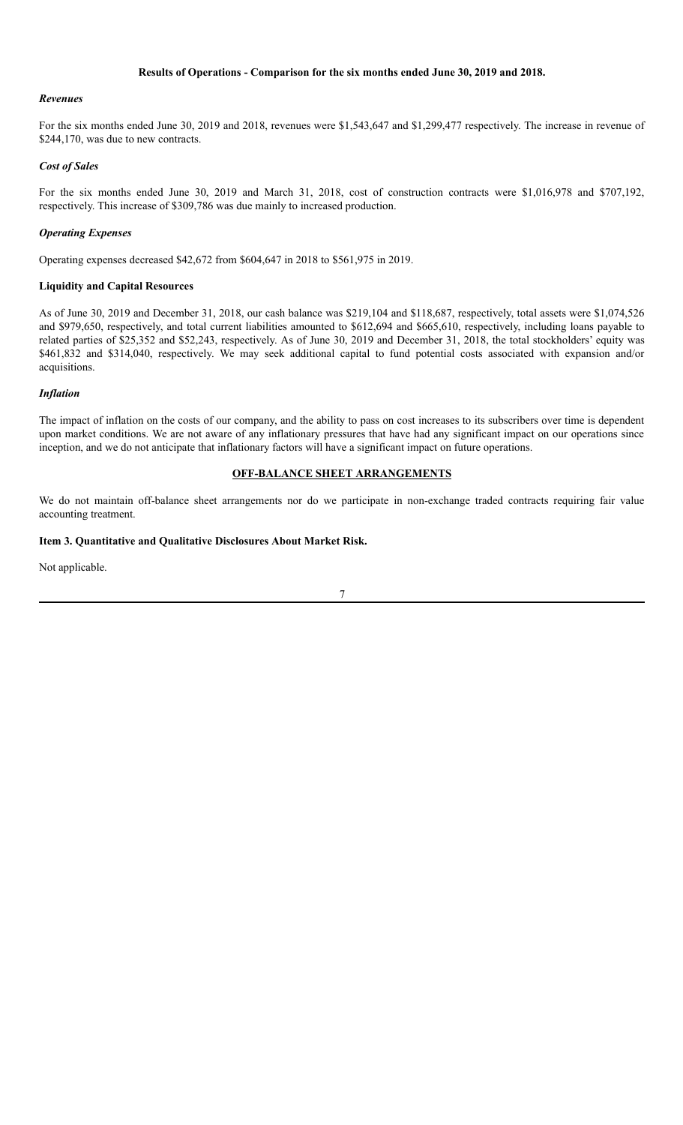#### **Results of Operations - Comparison for the six months ended June 30, 2019 and 2018.**

## *Revenues*

For the six months ended June 30, 2019 and 2018, revenues were \$1,543,647 and \$1,299,477 respectively. The increase in revenue of \$244,170, was due to new contracts.

## *Cost of Sales*

For the six months ended June 30, 2019 and March 31, 2018, cost of construction contracts were \$1,016,978 and \$707,192, respectively. This increase of \$309,786 was due mainly to increased production.

### *Operating Expenses*

Operating expenses decreased \$42,672 from \$604,647 in 2018 to \$561,975 in 2019.

## **Liquidity and Capital Resources**

As of June 30, 2019 and December 31, 2018, our cash balance was \$219,104 and \$118,687, respectively, total assets were \$1,074,526 and \$979,650, respectively, and total current liabilities amounted to \$612,694 and \$665,610, respectively, including loans payable to related parties of \$25,352 and \$52,243, respectively. As of June 30, 2019 and December 31, 2018, the total stockholders' equity was \$461,832 and \$314,040, respectively. We may seek additional capital to fund potential costs associated with expansion and/or acquisitions.

## *Inflation*

The impact of inflation on the costs of our company, and the ability to pass on cost increases to its subscribers over time is dependent upon market conditions. We are not aware of any inflationary pressures that have had any significant impact on our operations since inception, and we do not anticipate that inflationary factors will have a significant impact on future operations.

# **OFF-BALANCE SHEET ARRANGEMENTS**

We do not maintain off-balance sheet arrangements nor do we participate in non-exchange traded contracts requiring fair value accounting treatment.

# <span id="page-22-0"></span>**Item 3. Quantitative and Qualitative Disclosures About Market Risk.**

Not applicable.

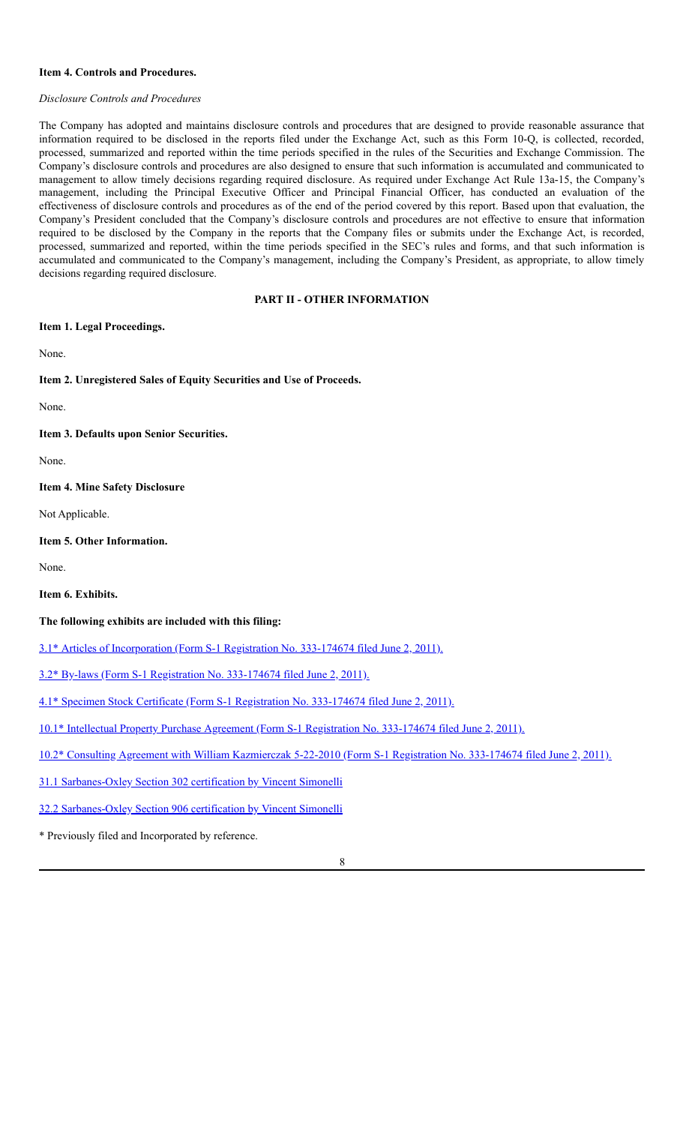#### <span id="page-23-0"></span>**Item 4. Controls and Procedures.**

#### *Disclosure Controls and Procedures*

The Company has adopted and maintains disclosure controls and procedures that are designed to provide reasonable assurance that information required to be disclosed in the reports filed under the Exchange Act, such as this Form 10-Q, is collected, recorded, processed, summarized and reported within the time periods specified in the rules of the Securities and Exchange Commission. The Company's disclosure controls and procedures are also designed to ensure that such information is accumulated and communicated to management to allow timely decisions regarding required disclosure. As required under Exchange Act Rule 13a-15, the Company's management, including the Principal Executive Officer and Principal Financial Officer, has conducted an evaluation of the effectiveness of disclosure controls and procedures as of the end of the period covered by this report. Based upon that evaluation, the Company's President concluded that the Company's disclosure controls and procedures are not effective to ensure that information required to be disclosed by the Company in the reports that the Company files or submits under the Exchange Act, is recorded, processed, summarized and reported, within the time periods specified in the SEC's rules and forms, and that such information is accumulated and communicated to the Company's management, including the Company's President, as appropriate, to allow timely decisions regarding required disclosure.

## **PART II - OTHER INFORMATION**

#### <span id="page-23-2"></span><span id="page-23-1"></span>**Item 1. Legal Proceedings.**

None.

<span id="page-23-3"></span>**Item 2. Unregistered Sales of Equity Securities and Use of Proceeds.**

None.

<span id="page-23-4"></span>**Item 3. Defaults upon Senior Securities.**

None.

<span id="page-23-5"></span>**Item 4. Mine Safety Disclosure**

Not Applicable.

<span id="page-23-6"></span>**Item 5. Other Information.**

None.

<span id="page-23-7"></span>**Item 6. Exhibits.**

#### **The following exhibits are included with this filing:**

3.1\* Articles of [Incorporation](http://www.sec.gov/Archives/edgar/data/1518336/000151833611000003/exhibit_3articlesofincorpora.htm) (Form S-1 Registration No. 333-174674 filed June 2, 2011).

3.2\* By-laws (Form S-1 [Registration](http://www.sec.gov/Archives/edgar/data/1518336/000151833611000003/bylaws.htm) No. 333-174674 filed June 2, 2011).

4.1\* Specimen Stock Certificate (Form S-1 [Registration](http://www.sec.gov/Archives/edgar/data/1518336/000151833611000003/ex4samplestockcert.htm) No. 333-174674 filed June 2, 2011).

10.1\* Intellectual Property Purchase Agreement (Form S-1 [Registration](http://www.sec.gov/Archives/edgar/data/1518336/000151833611000003/agreementwithterrareip.htm) No. 333-174674 filed June 2, 2011).

10.2\* Consulting Agreement with William [Kazmierczak](http://www.sec.gov/Archives/edgar/data/1518336/000151833611000003/ex_101kazmierczackagreement0.htm) 5-22-2010 (Form S-1 Registration No. 333-174674 filed June 2, 2011).

31.1 [Sarbanes-Oxley](http://compliance-sec.com/secfilings/company/VRTR/link_files/2020/01-17-2020/Form10-Q(01-17-2020)DreamHomesandDevelopmentCorp/ex31.htm) Section 302 certification by Vincent Simonelli

32.2 [Sarbanes-Oxley](http://compliance-sec.com/secfilings/company/VRTR/link_files/2020/01-17-2020/Form10-Q(01-17-2020)DreamHomesandDevelopmentCorp/ex32.htm) Section 906 certification by Vincent Simonelli

\* Previously filed and Incorporated by reference.

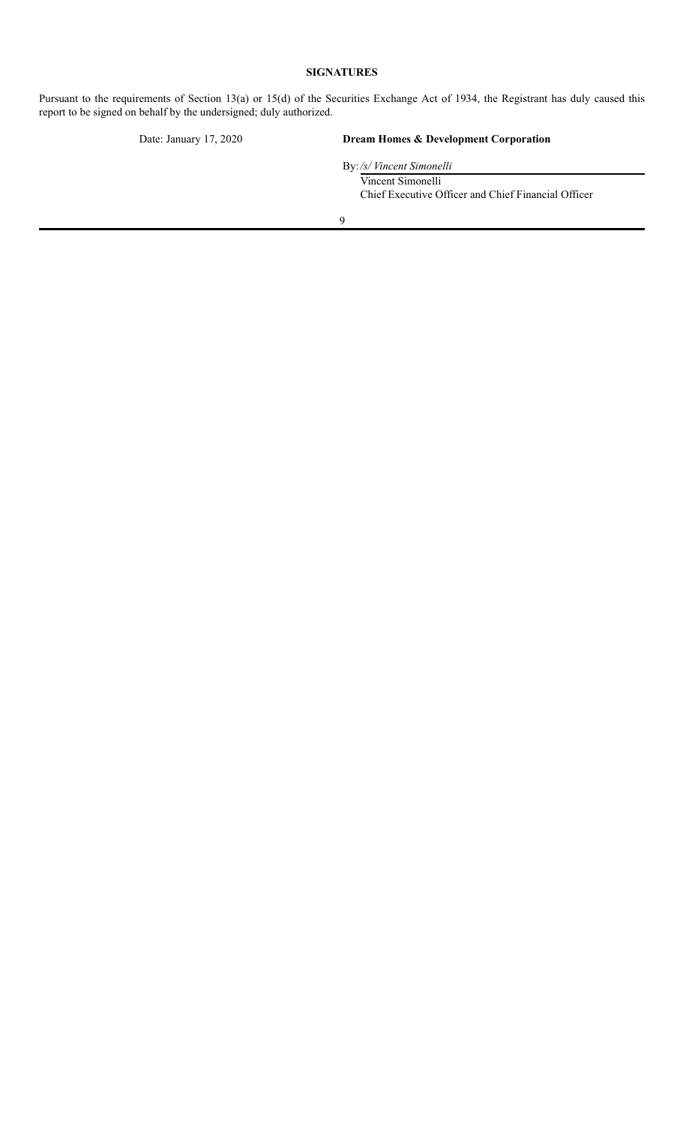# **SIGNATURES**

<span id="page-24-0"></span>Pursuant to the requirements of Section 13(a) or 15(d) of the Securities Exchange Act of 1934, the Registrant has duly caused this report to be signed on behalf by the undersigned; duly authorized.

# Date: January 17, 2020 **Dream Homes & Development Corporation**

By:*/s/ Vincent Simonelli* Vincent Simonelli Chief Executive Officer and Chief Financial Officer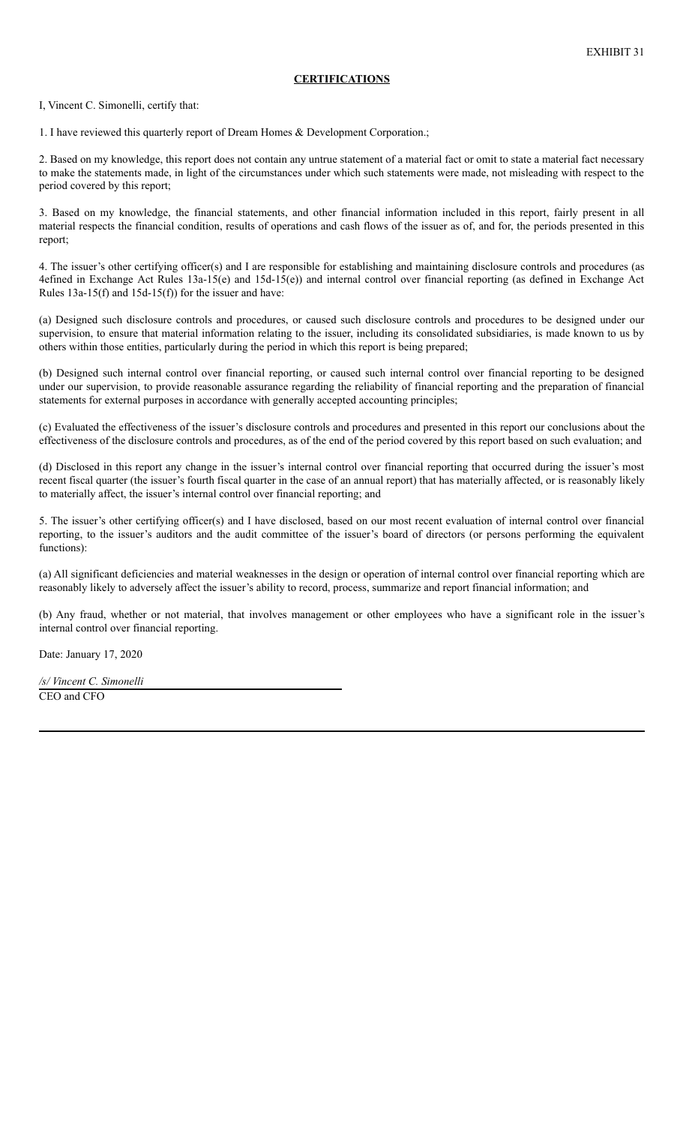# **CERTIFICATIONS**

I, Vincent C. Simonelli, certify that:

1. I have reviewed this quarterly report of Dream Homes & Development Corporation.;

2. Based on my knowledge, this report does not contain any untrue statement of a material fact or omit to state a material fact necessary to make the statements made, in light of the circumstances under which such statements were made, not misleading with respect to the period covered by this report;

3. Based on my knowledge, the financial statements, and other financial information included in this report, fairly present in all material respects the financial condition, results of operations and cash flows of the issuer as of, and for, the periods presented in this report;

4. The issuer's other certifying officer(s) and I are responsible for establishing and maintaining disclosure controls and procedures (as 4efined in Exchange Act Rules 13a-15(e) and 15d-15(e)) and internal control over financial reporting (as defined in Exchange Act Rules 13a-15(f) and 15d-15(f)) for the issuer and have:

(a) Designed such disclosure controls and procedures, or caused such disclosure controls and procedures to be designed under our supervision, to ensure that material information relating to the issuer, including its consolidated subsidiaries, is made known to us by others within those entities, particularly during the period in which this report is being prepared;

(b) Designed such internal control over financial reporting, or caused such internal control over financial reporting to be designed under our supervision, to provide reasonable assurance regarding the reliability of financial reporting and the preparation of financial statements for external purposes in accordance with generally accepted accounting principles;

(c) Evaluated the effectiveness of the issuer's disclosure controls and procedures and presented in this report our conclusions about the effectiveness of the disclosure controls and procedures, as of the end of the period covered by this report based on such evaluation; and

(d) Disclosed in this report any change in the issuer's internal control over financial reporting that occurred during the issuer's most recent fiscal quarter (the issuer's fourth fiscal quarter in the case of an annual report) that has materially affected, or is reasonably likely to materially affect, the issuer's internal control over financial reporting; and

5. The issuer's other certifying officer(s) and I have disclosed, based on our most recent evaluation of internal control over financial reporting, to the issuer's auditors and the audit committee of the issuer's board of directors (or persons performing the equivalent functions):

(a) All significant deficiencies and material weaknesses in the design or operation of internal control over financial reporting which are reasonably likely to adversely affect the issuer's ability to record, process, summarize and report financial information; and

(b) Any fraud, whether or not material, that involves management or other employees who have a significant role in the issuer's internal control over financial reporting.

Date: January 17, 2020

*/s/ Vincent C. Simonelli* CEO and CFO